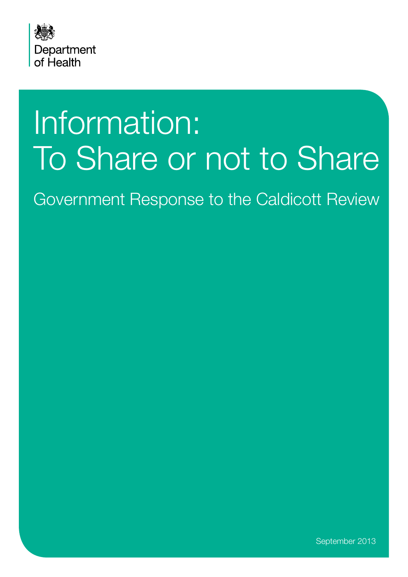

# Information: To Share or not to Share

Government Response to the Caldicott Review

September 2013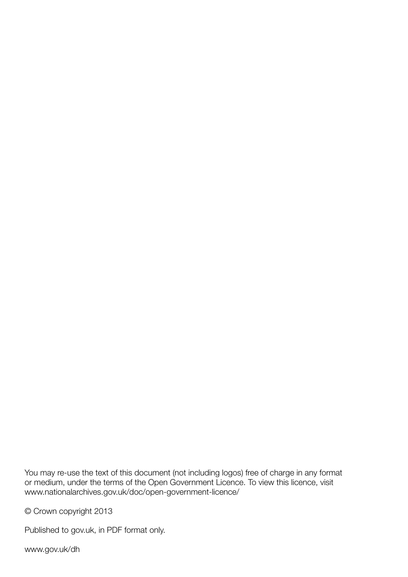You may re-use the text of this document (not including logos) free of charge in any format or medium, under the terms of the Open Government Licence. To view this licence, visit <www.nationalarchives.gov.uk/doc/open-government-licence/>

© Crown copyright 2013

Published to gov.uk, in PDF format only.

<www.gov.uk/dh>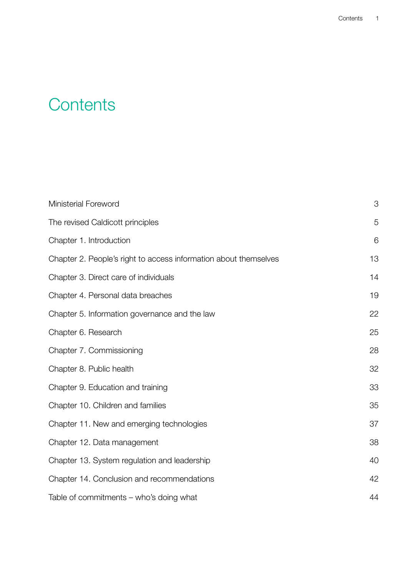# **Contents**

| <b>Ministerial Foreword</b>                                      | 3  |
|------------------------------------------------------------------|----|
| The revised Caldicott principles                                 | 5  |
| Chapter 1. Introduction                                          | 6  |
| Chapter 2. People's right to access information about themselves | 13 |
| Chapter 3. Direct care of individuals                            | 14 |
| Chapter 4. Personal data breaches                                | 19 |
| Chapter 5. Information governance and the law                    | 22 |
| Chapter 6. Research                                              | 25 |
| Chapter 7. Commissioning                                         | 28 |
| Chapter 8. Public health                                         | 32 |
| Chapter 9. Education and training                                | 33 |
| Chapter 10. Children and families                                | 35 |
| Chapter 11. New and emerging technologies                        | 37 |
| Chapter 12. Data management                                      | 38 |
| Chapter 13. System regulation and leadership                     | 40 |
| Chapter 14. Conclusion and recommendations                       | 42 |
| Table of commitments – who's doing what                          | 44 |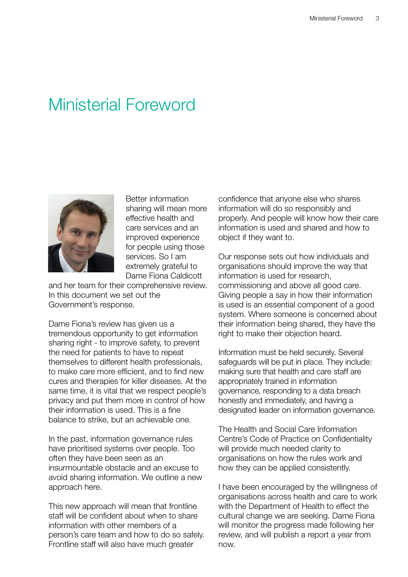### <span id="page-3-0"></span>Ministerial Foreword



Better information sharing will mean more effective health and care services and an improved experience for people using those services. So I am extremely grateful to Dame Fiona Caldicott

and her team for their comprehensive review. In this document we set out the Government's response.

Dame Fiona's review has given us a tremendous opportunity to get information sharing right - to improve safety, to prevent the need for patients to have to repeat themselves to different health professionals, to make care more efficient, and to find new cures and therapies for killer diseases. At the same time, it is vital that we respect people's privacy and put them more in control of how their information is used. This is a fine balance to strike, but an achievable one.

In the past, information governance rules have prioritised systems over people. Too often they have been seen as an insurmountable obstacle and an excuse to avoid sharing information. We outline a new approach here.

This new approach will mean that frontline staff will be confident about when to share information with other members of a person's care team and how to do so safely. Frontline staff will also have much greater

confidence that anyone else who shares information will do so responsibly and properly. And people will know how their care information is used and shared and how to object if they want to.

Our response sets out how individuals and organisations should improve the way that information is used for research, commissioning and above all good care. Giving people a say in how their information is used is an essential component of a good system. Where someone is concerned about their information being shared, they have the right to make their objection heard.

Information must be held securely. Several safeguards will be put in place. They include: making sure that health and care staff are appropriately trained in information governance, responding to a data breach honestly and immediately, and having a designated leader on information governance.

The Health and Social Care Information Centre's Code of Practice on Confidentiality will provide much needed clarity to organisations on how the rules work and how they can be applied consistently.

I have been encouraged by the willingness of organisations across health and care to work with the Department of Health to effect the cultural change we are seeking. Dame Fiona will monitor the progress made following her review, and will publish a report a year from now.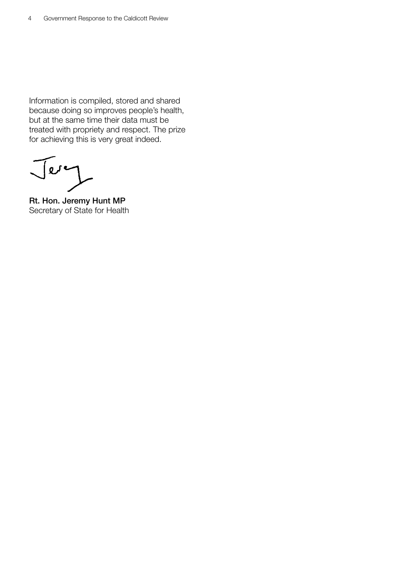Information is compiled, stored and shared because doing so improves people's health, but at the same time their data must be treated with propriety and respect. The prize for achieving this is very great indeed.

Jery

Rt. Hon. Jeremy Hunt MP Secretary of State for Health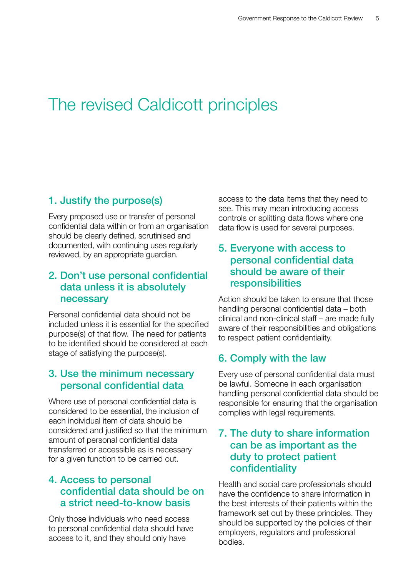# <span id="page-5-0"></span>The revised Caldicott principles

### 1. Justify the purpose(s)

Every proposed use or transfer of personal confidential data within or from an organisation should be clearly defined, scrutinised and documented, with continuing uses regularly reviewed, by an appropriate guardian.

### 2. Don't use personal confidential data unless it is absolutely necessary

Personal confidential data should not be included unless it is essential for the specified purpose(s) of that flow. The need for patients to be identified should be considered at each stage of satisfying the purpose(s).

### 3. Use the minimum necessary personal confidential data

Where use of personal confidential data is considered to be essential, the inclusion of each individual item of data should be considered and justified so that the minimum amount of personal confidential data transferred or accessible as is necessary for a given function to be carried out.

### 4. Access to personal confidential data should be on a strict need-to-know basis

Only those individuals who need access to personal confidential data should have access to it, and they should only have

access to the data items that they need to see. This may mean introducing access controls or splitting data flows where one data flow is used for several purposes.

### 5. Everyone with access to personal confidential data should be aware of their responsibilities

Action should be taken to ensure that those handling personal confidential data – both clinical and non-clinical staff – are made fully aware of their responsibilities and obligations to respect patient confidentiality.

### 6. Comply with the law

Every use of personal confidential data must be lawful. Someone in each organisation handling personal confidential data should be responsible for ensuring that the organisation complies with legal requirements.

### 7. The duty to share information can be as important as the duty to protect patient confidentiality

Health and social care professionals should have the confidence to share information in the best interests of their patients within the framework set out by these principles. They should be supported by the policies of their employers, regulators and professional bodies.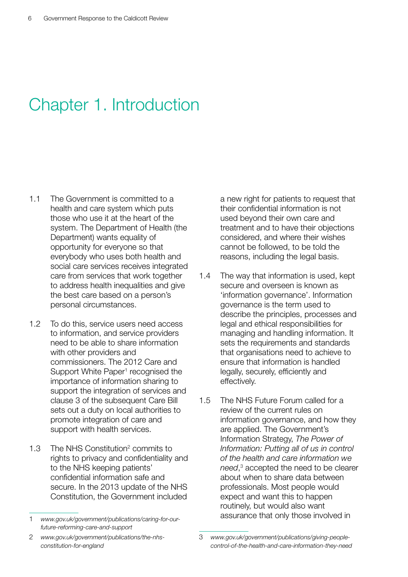# <span id="page-6-0"></span>Chapter 1. Introduction

- 1.1 The Government is committed to a health and care system which puts those who use it at the heart of the system. The Department of Health (the Department) wants equality of opportunity for everyone so that everybody who uses both health and social care services receives integrated care from services that work together to address health inequalities and give the best care based on a person's personal circumstances.
- 1.2 To do this, service users need access to information, and service providers need to be able to share information with other providers and commissioners. The 2012 Care and Support White Paper<sup>1</sup> recognised the importance of information sharing to support the integration of services and clause 3 of the subsequent Care Bill sets out a duty on local authorities to promote integration of care and support with health services.
- 1.3 The NHS Constitution<sup>2</sup> commits to rights to privacy and confidentiality and to the NHS keeping patients' confidential information safe and secure. In the 2013 update of the NHS Constitution, the Government included

a new right for patients to request that their confidential information is not used beyond their own care and treatment and to have their objections considered, and where their wishes cannot be followed, to be told the reasons, including the legal basis.

- 1.4 The way that information is used, kept secure and overseen is known as 'information governance'. Information governance is the term used to describe the principles, processes and legal and ethical responsibilities for managing and handling information. It sets the requirements and standards that organisations need to achieve to ensure that information is handled legally, securely, efficiently and effectively.
- 1.5 The NHS Future Forum called for a review of the current rules on information governance, and how they are applied. The Government's Information Strategy, *The Power of Information: Putting all of us in control of the health and care information we need*, <sup>3</sup> accepted the need to be clearer about when to share data between professionals. Most people would expect and want this to happen routinely, but would also want assurance that only those involved in

<sup>1</sup> *[www.gov.uk/government/publications/caring-for-our](www.gov.uk/government/publications/caring-for-our-future-reforming-care-and-support)[future-reforming-care-and-support](www.gov.uk/government/publications/caring-for-our-future-reforming-care-and-support)*

<sup>2</sup> *[www.gov.uk/government/publications/the-nhs](www.gov.uk/government/publications/the-nhs-constitution-for-england)[constitution-for-england](www.gov.uk/government/publications/the-nhs-constitution-for-england)*

<sup>3</sup> *[www.gov.uk/government/publications/giving-people](www.gov.uk/government/publications/giving-people-control-of-the-health-and-care-information-they-need)[control-of-the-health-and-care-information-they-need](www.gov.uk/government/publications/giving-people-control-of-the-health-and-care-information-they-need)*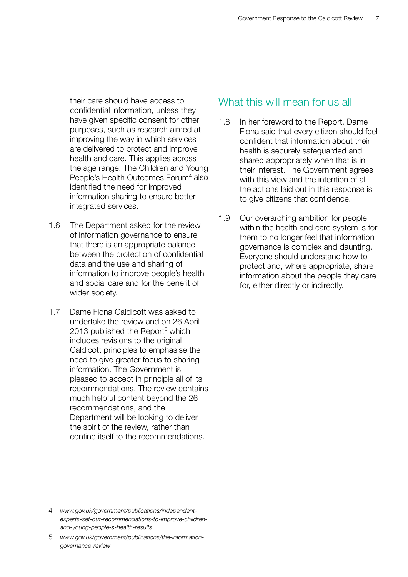their care should have access to confidential information, unless they have given specific consent for other purposes, such as research aimed at improving the way in which services are delivered to protect and improve health and care. This applies across the age range. The Children and Young People's Health Outcomes Forum<sup>4</sup> also identified the need for improved information sharing to ensure better integrated services.

- 1.6 The Department asked for the review of information governance to ensure that there is an appropriate balance between the protection of confidential data and the use and sharing of information to improve people's health and social care and for the benefit of wider society.
- 1.7 Dame Fiona Caldicott was asked to undertake the review and on 26 April 2013 published the Report<sup>5</sup> which includes revisions to the original Caldicott principles to emphasise the need to give greater focus to sharing information. The Government is pleased to accept in principle all of its recommendations. The review contains much helpful content beyond the 26 recommendations, and the Department will be looking to deliver the spirit of the review, rather than confine itself to the recommendations.

### What this will mean for us all

- 1.8 In her foreword to the Report, Dame Fiona said that every citizen should feel confident that information about their health is securely safeguarded and shared appropriately when that is in their interest. The Government agrees with this view and the intention of all the actions laid out in this response is to give citizens that confidence.
- 1.9 Our overarching ambition for people within the health and care system is for them to no longer feel that information governance is complex and daunting. Everyone should understand how to protect and, where appropriate, share information about the people they care for, either directly or indirectly.

<sup>4</sup> *[www.gov.uk/government/publications/independent](www.gov.uk/government/publications/independent-experts-set-out-recommendations-to-improve-children-and-young-people-s-health-results)[experts-set-out-recommendations-to-improve-children](www.gov.uk/government/publications/independent-experts-set-out-recommendations-to-improve-children-and-young-people-s-health-results)[and-young-people-s-health-results](www.gov.uk/government/publications/independent-experts-set-out-recommendations-to-improve-children-and-young-people-s-health-results)*

<sup>5</sup> *[www.gov.uk/government/publications/the-information](www.gov.uk/government/publications/the-information-governance-review)[governance-review](www.gov.uk/government/publications/the-information-governance-review)*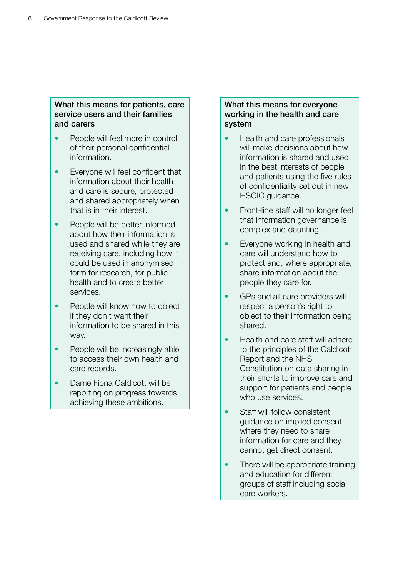#### What this means for patients, care service users and their families and carers

- People will feel more in control of their personal confidential information.
- Everyone will feel confident that information about their health and care is secure, protected and shared appropriately when that is in their interest.
- People will be better informed about how their information is used and shared while they are receiving care, including how it could be used in anonymised form for research, for public health and to create better services.
- People will know how to object if they don't want their information to be shared in this way.
- People will be increasingly able to access their own health and care records.
- Dame Fiona Caldicott will be reporting on progress towards achieving these ambitions.

#### What this means for everyone working in the health and care system

- Health and care professionals will make decisions about how information is shared and used in the best interests of people and patients using the five rules of confidentiality set out in new HSCIC guidance.
- Front-line staff will no longer feel that information governance is complex and daunting.
- Everyone working in health and care will understand how to protect and, where appropriate, share information about the people they care for.
- GPs and all care providers will respect a person's right to object to their information being shared.
- Health and care staff will adhere to the principles of the Caldicott Report and the NHS Constitution on data sharing in their efforts to improve care and support for patients and people who use services.
- Staff will follow consistent guidance on implied consent where they need to share information for care and they cannot get direct consent.
- There will be appropriate training and education for different groups of staff including social care workers.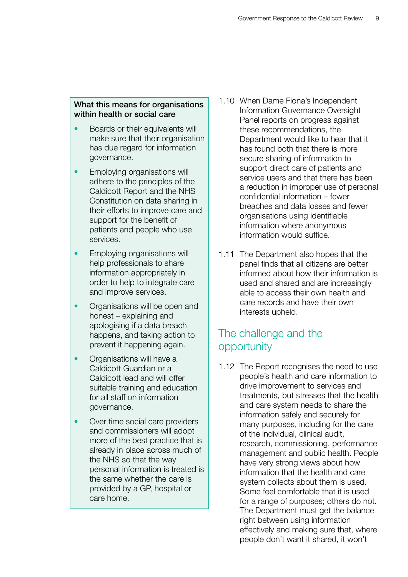#### What this means for organisations within health or social care

- Boards or their equivalents will make sure that their organisation has due regard for information governance.
- Employing organisations will adhere to the principles of the Caldicott Report and the NHS Constitution on data sharing in their efforts to improve care and support for the benefit of patients and people who use services.
- Employing organisations will help professionals to share information appropriately in order to help to integrate care and improve services.
- Organisations will be open and honest – explaining and apologising if a data breach happens, and taking action to prevent it happening again.
- Organisations will have a Caldicott Guardian or a Caldicott lead and will offer suitable training and education for all staff on information governance.
- Over time social care providers and commissioners will adopt more of the best practice that is already in place across much of the NHS so that the way personal information is treated is the same whether the care is provided by a GP, hospital or care home.
- 1.10 When Dame Fiona's Independent Information Governance Oversight Panel reports on progress against these recommendations, the Department would like to hear that it has found both that there is more secure sharing of information to support direct care of patients and service users and that there has been a reduction in improper use of personal confidential information – fewer breaches and data losses and fewer organisations using identifiable information where anonymous information would suffice.
- 1.11 The Department also hopes that the panel finds that all citizens are better informed about how their information is used and shared and are increasingly able to access their own health and care records and have their own interests upheld.

### The challenge and the opportunity

1.12 The Report recognises the need to use people's health and care information to drive improvement to services and treatments, but stresses that the health and care system needs to share the information safely and securely for many purposes, including for the care of the individual, clinical audit, research, commissioning, performance management and public health. People have very strong views about how information that the health and care system collects about them is used. Some feel comfortable that it is used for a range of purposes; others do not. The Department must get the balance right between using information effectively and making sure that, where people don't want it shared, it won't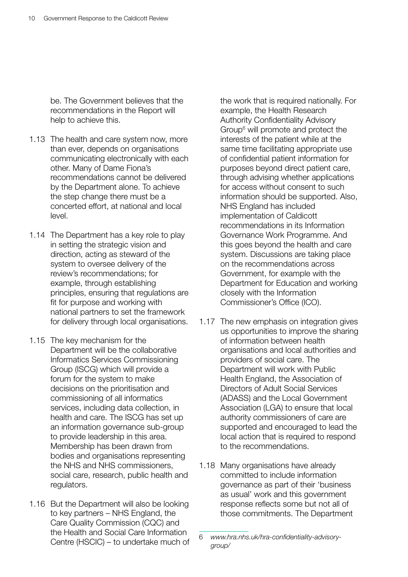be. The Government believes that the recommendations in the Report will help to achieve this.

- 1.13 The health and care system now, more than ever, depends on organisations communicating electronically with each other. Many of Dame Fiona's recommendations cannot be delivered by the Department alone. To achieve the step change there must be a concerted effort, at national and local level.
- 1.14 The Department has a key role to play in setting the strategic vision and direction, acting as steward of the system to oversee delivery of the review's recommendations; for example, through establishing principles, ensuring that regulations are fit for purpose and working with national partners to set the framework for delivery through local organisations.
- 1.15 The key mechanism for the Department will be the collaborative Informatics Services Commissioning Group (ISCG) which will provide a forum for the system to make decisions on the prioritisation and commissioning of all informatics services, including data collection, in health and care. The ISCG has set up an information governance sub-group to provide leadership in this area. Membership has been drawn from bodies and organisations representing the NHS and NHS commissioners, social care, research, public health and regulators.
- 1.16 But the Department will also be looking to key partners – NHS England, the Care Quality Commission (CQC) and the Health and Social Care Information Centre (HSCIC) – to undertake much of

the work that is required nationally. For example, the Health Research Authority Confidentiality Advisory Group<sup>6</sup> will promote and protect the interests of the patient while at the same time facilitating appropriate use of confidential patient information for purposes beyond direct patient care, through advising whether applications for access without consent to such information should be supported. Also, NHS England has included implementation of Caldicott recommendations in its Information Governance Work Programme. And this goes beyond the health and care system. Discussions are taking place on the recommendations across Government, for example with the Department for Education and working closely with the Information Commissioner's Office (ICO).

- 1.17 The new emphasis on integration gives us opportunities to improve the sharing of information between health organisations and local authorities and providers of social care. The Department will work with Public Health England, the Association of Directors of Adult Social Services (ADASS) and the Local Government Association (LGA) to ensure that local authority commissioners of care are supported and encouraged to lead the local action that is required to respond to the recommendations.
- 1.18 Many organisations have already committed to include information governance as part of their 'business as usual' work and this government response reflects some but not all of those commitments. The Department

<sup>6</sup> *[www.hra.nhs.uk/hra-confidentiality-advisory](www.hra.nhs.uk/hra-confidentiality-advisory-group/)[group/](www.hra.nhs.uk/hra-confidentiality-advisory-group/)*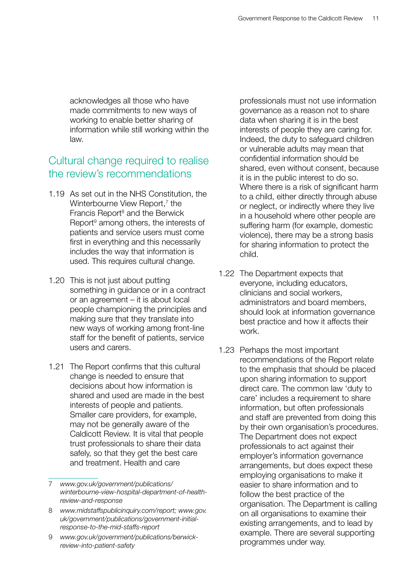acknowledges all those who have made commitments to new ways of working to enable better sharing of information while still working within the law.

### Cultural change required to realise the review's recommendations

- 1.19 As set out in the NHS Constitution, the Winterbourne View Report,<sup>7</sup> the Francis Report<sup>8</sup> and the Berwick Report<sup>9</sup> among others, the interests of patients and service users must come first in everything and this necessarily includes the way that information is used. This requires cultural change.
- 1.20 This is not just about putting something in guidance or in a contract or an agreement – it is about local people championing the principles and making sure that they translate into new ways of working among front-line staff for the benefit of patients, service users and carers.
- 1.21 The Report confirms that this cultural change is needed to ensure that decisions about how information is shared and used are made in the best interests of people and patients. Smaller care providers, for example, may not be generally aware of the Caldicott Review. It is vital that people trust professionals to share their data safely, so that they get the best care and treatment. Health and care

professionals must not use information governance as a reason not to share data when sharing it is in the best interests of people they are caring for. Indeed, the duty to safeguard children or vulnerable adults may mean that confidential information should be shared, even without consent, because it is in the public interest to do so. Where there is a risk of significant harm to a child, either directly through abuse or neglect, or indirectly where they live in a household where other people are suffering harm (for example, domestic violence), there may be a strong basis for sharing information to protect the child.

- 1.22 The Department expects that everyone, including educators, clinicians and social workers, administrators and board members, should look at information governance best practice and how it affects their work.
- 1.23 Perhaps the most important recommendations of the Report relate to the emphasis that should be placed upon sharing information to support direct care. The common law 'duty to care' includes a requirement to share information, but often professionals and staff are prevented from doing this by their own organisation's procedures. The Department does not expect professionals to act against their employer's information governance arrangements, but does expect these employing organisations to make it easier to share information and to follow the best practice of the organisation. The Department is calling on all organisations to examine their existing arrangements, and to lead by example. There are several supporting programmes under way.

<sup>7</sup> *[www.gov.uk/government/publications/](www.gov.uk/government/publications/winterbourne-view-hospital-department-of-health-review-and-response) [winterbourne-view-hospital-department-of-health](www.gov.uk/government/publications/winterbourne-view-hospital-department-of-health-review-and-response)[review-and-response](www.gov.uk/government/publications/winterbourne-view-hospital-department-of-health-review-and-response)*

<sup>8</sup> *[www.midstaffspublicinquiry.com/report;](www.midstaffspublicinquiry.com/report) [www.gov.](www.gov.uk/government/publications/government-initial-response-to-the-mid-staffs-report) [uk/government/publications/government-initial](www.gov.uk/government/publications/government-initial-response-to-the-mid-staffs-report)[response-to-the-mid-staffs-report](www.gov.uk/government/publications/government-initial-response-to-the-mid-staffs-report)*

<sup>9</sup> *[www.gov.uk/government/publications/berwick](www.gov.uk/government/publications/berwick-review-into-patient-safety)[review-into-patient-safety](www.gov.uk/government/publications/berwick-review-into-patient-safety)*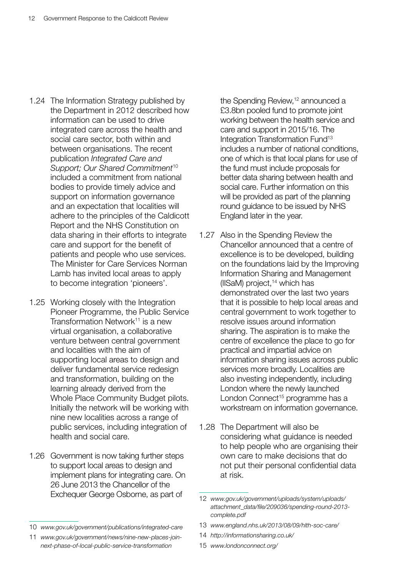- 1.24 The Information Strategy published by the Department in 2012 described how information can be used to drive integrated care across the health and social care sector, both within and between organisations. The recent publication *Integrated Care and Support; Our Shared Commitment*<sup>10</sup> included a commitment from national bodies to provide timely advice and support on information governance and an expectation that localities will adhere to the principles of the Caldicott Report and the NHS Constitution on data sharing in their efforts to integrate care and support for the benefit of patients and people who use services. The Minister for Care Services Norman Lamb has invited local areas to apply to become integration 'pioneers'.
- 1.25 Working closely with the Integration Pioneer Programme, the Public Service Transformation Network<sup>11</sup> is a new virtual organisation, a collaborative venture between central government and localities with the aim of supporting local areas to design and deliver fundamental service redesign and transformation, building on the learning already derived from the Whole Place Community Budget pilots. Initially the network will be working with nine new localities across a range of public services, including integration of health and social care.
- 1.26 Government is now taking further steps to support local areas to design and implement plans for integrating care. On 26 June 2013 the Chancellor of the Exchequer George Osborne, as part of

the Spending Review,<sup>12</sup> announced a £3.8bn pooled fund to promote joint working between the health service and care and support in 2015/16. The Integration Transformation Fund<sup>13</sup> includes a number of national conditions, one of which is that local plans for use of the fund must include proposals for better data sharing between health and social care. Further information on this will be provided as part of the planning round guidance to be issued by NHS England later in the year.

- 1.27 Also in the Spending Review the Chancellor announced that a centre of excellence is to be developed, building on the foundations laid by the Improving Information Sharing and Management (IISaM) project, $14$  which has demonstrated over the last two years that it is possible to help local areas and central government to work together to resolve issues around information sharing. The aspiration is to make the centre of excellence the place to go for practical and impartial advice on information sharing issues across public services more broadly. Localities are also investing independently, including London where the newly launched London Connect<sup>15</sup> programme has a workstream on information governance.
- 1.28 The Department will also be considering what guidance is needed to help people who are organising their own care to make decisions that do not put their personal confidential data at risk.

- 13 *<www.england.nhs.uk/2013/08/09/hlth-soc-care/>*
- 14 *<http://informationsharing.co.uk/>*
- 15 *<www.londonconnect.org/>*

<sup>10</sup> *<www.gov.uk/government/publications/integrated-care>*

<sup>11</sup> *[www.gov.uk/government/news/nine-new-places-join](www.gov.uk/government/news/nine-new-places-join-next-phase-of-local-public-service-transformation)[next-phase-of-local-public-service-transformation](www.gov.uk/government/news/nine-new-places-join-next-phase-of-local-public-service-transformation)*

<sup>12</sup> *[www.gov.uk/government/uploads/system/uploads/](www.gov.uk/government/uploads/system/uploads/attachment_data/file/209036/spending-round-2013-complete.pdf) [attachment\\_data/file/209036/spending-round-2013](www.gov.uk/government/uploads/system/uploads/attachment_data/file/209036/spending-round-2013-complete.pdf) [complete.pdf](www.gov.uk/government/uploads/system/uploads/attachment_data/file/209036/spending-round-2013-complete.pdf)*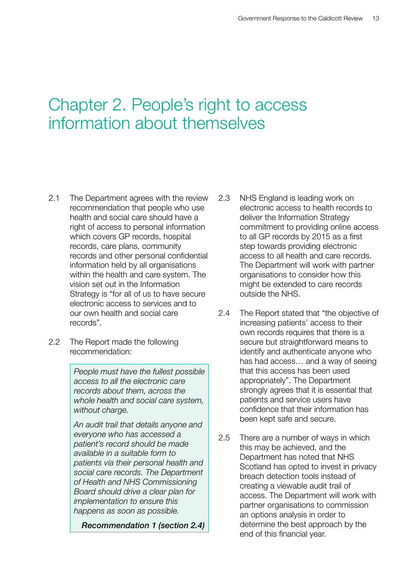### <span id="page-13-0"></span>Chapter 2. People's right to access information about themselves

- 2.1 The Department agrees with the review recommendation that people who use health and social care should have a right of access to personal information which covers GP records, hospital records, care plans, community records and other personal confidential information held by all organisations within the health and care system. The vision set out in the Information Strategy is "for all of us to have secure electronic access to services and to our own health and social care records".
- 2.2 The Report made the following recommendation:

*People must have the fullest possible access to all the electronic care records about them, across the whole health and social care system, without charge.*

*An audit trail that details anyone and everyone who has accessed a patient's record should be made available in a suitable form to patients via their personal health and social care records. The Department of Health and NHS Commissioning Board should drive a clear plan for implementation to ensure this happens as soon as possible.*

*Recommendation 1 (section 2.4)*

- 2.3 NHS England is leading work on electronic access to health records to deliver the Information Strategy commitment to providing online access to all GP records by 2015 as a first step towards providing electronic access to all health and care records. The Department will work with partner organisations to consider how this might be extended to care records outside the NHS.
- 2.4 The Report stated that "the objective of increasing patients' access to their own records requires that there is a secure but straightforward means to identify and authenticate anyone who has had access… and a way of seeing that this access has been used appropriately". The Department strongly agrees that it is essential that patients and service users have confidence that their information has been kept safe and secure.
- 2.5 There are a number of ways in which this may be achieved, and the Department has noted that NHS Scotland has opted to invest in privacy breach detection tools instead of creating a viewable audit trail of access. The Department will work with partner organisations to commission an options analysis in order to determine the best approach by the end of this financial year.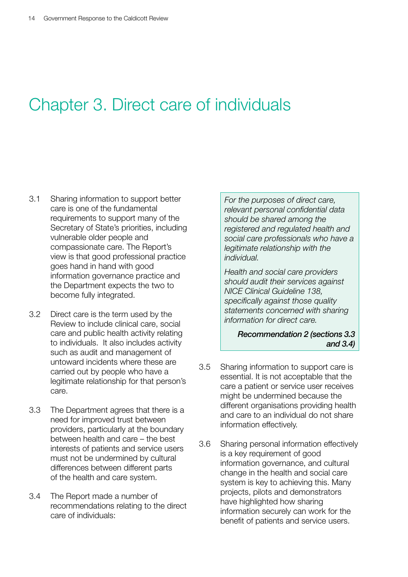## <span id="page-14-0"></span>Chapter 3. Direct care of individuals

- 3.1 Sharing information to support better care is one of the fundamental requirements to support many of the Secretary of State's priorities, including vulnerable older people and compassionate care. The Report's view is that good professional practice goes hand in hand with good information governance practice and the Department expects the two to become fully integrated.
- 3.2 Direct care is the term used by the Review to include clinical care, social care and public health activity relating to individuals. It also includes activity such as audit and management of untoward incidents where these are carried out by people who have a legitimate relationship for that person's care.
- 3.3 The Department agrees that there is a need for improved trust between providers, particularly at the boundary between health and care – the best interests of patients and service users must not be undermined by cultural differences between different parts of the health and care system.
- 3.4 The Report made a number of recommendations relating to the direct care of individuals:

*For the purposes of direct care, relevant personal confidential data should be shared among the registered and regulated health and social care professionals who have a legitimate relationship with the individual.*

*Health and social care providers should audit their services against NICE Clinical Guideline 138, specifically against those quality statements concerned with sharing information for direct care.*

*Recommendation 2 (sections 3.3 and 3.4)*

- 3.5 Sharing information to support care is essential. It is not acceptable that the care a patient or service user receives might be undermined because the different organisations providing health and care to an individual do not share information effectively.
- 3.6 Sharing personal information effectively is a key requirement of good information governance, and cultural change in the health and social care system is key to achieving this. Many projects, pilots and demonstrators have highlighted how sharing information securely can work for the benefit of patients and service users.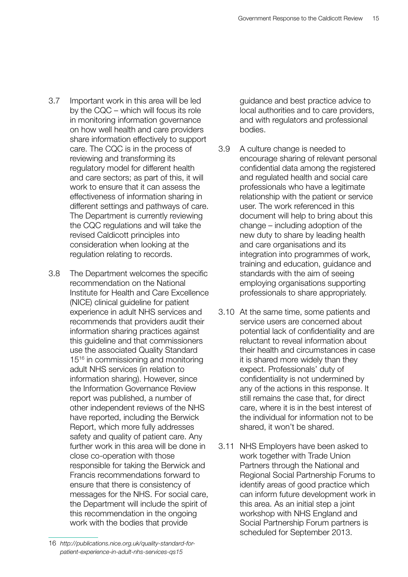- 3.7 Important work in this area will be led by the CQC – which will focus its role in monitoring information governance on how well health and care providers share information effectively to support care. The CQC is in the process of reviewing and transforming its regulatory model for different health and care sectors; as part of this, it will work to ensure that it can assess the effectiveness of information sharing in different settings and pathways of care. The Department is currently reviewing the CQC regulations and will take the revised Caldicott principles into consideration when looking at the regulation relating to records.
- 3.8 The Department welcomes the specific recommendation on the National Institute for Health and Care Excellence (NICE) clinical guideline for patient experience in adult NHS services and recommends that providers audit their information sharing practices against this guideline and that commissioners use the associated Quality Standard 15<sup>16</sup> in commissioning and monitoring adult NHS services (in relation to information sharing). However, since the Information Governance Review report was published, a number of other independent reviews of the NHS have reported, including the Berwick Report, which more fully addresses safety and quality of patient care. Any further work in this area will be done in close co-operation with those responsible for taking the Berwick and Francis recommendations forward to ensure that there is consistency of messages for the NHS. For social care, the Department will include the spirit of this recommendation in the ongoing work with the bodies that provide

guidance and best practice advice to local authorities and to care providers, and with regulators and professional bodies.

- 3.9 A culture change is needed to encourage sharing of relevant personal confidential data among the registered and regulated health and social care professionals who have a legitimate relationship with the patient or service user. The work referenced in this document will help to bring about this change – including adoption of the new duty to share by leading health and care organisations and its integration into programmes of work, training and education, guidance and standards with the aim of seeing employing organisations supporting professionals to share appropriately.
- 3.10 At the same time, some patients and service users are concerned about potential lack of confidentiality and are reluctant to reveal information about their health and circumstances in case it is shared more widely than they expect. Professionals' duty of confidentiality is not undermined by any of the actions in this response. It still remains the case that, for direct care, where it is in the best interest of the individual for information not to be shared, it won't be shared.
- 3.11 NHS Employers have been asked to work together with Trade Union Partners through the National and Regional Social Partnership Forums to identify areas of good practice which can inform future development work in this area. As an initial step a joint workshop with NHS England and Social Partnership Forum partners is scheduled for September 2013.

<sup>16</sup> *[http://publications.nice.org.uk/quality-standard-for](http://publications.nice.org.uk/quality-standard-for-patient-experience-in-adult-nhs-services-qs15)[patient-experience-in-adult-nhs-services-qs15](http://publications.nice.org.uk/quality-standard-for-patient-experience-in-adult-nhs-services-qs15)*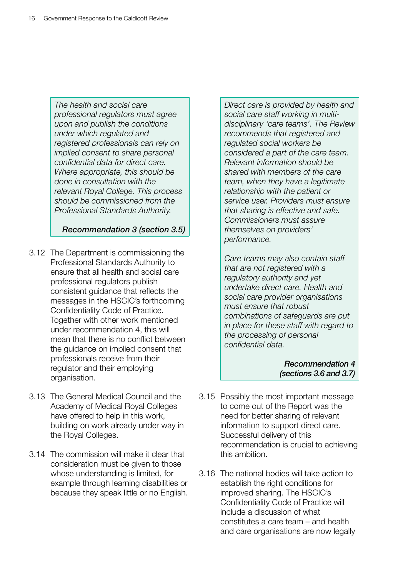*The health and social care professional regulators must agree upon and publish the conditions under which regulated and registered professionals can rely on implied consent to share personal confidential data for direct care. Where appropriate, this should be done in consultation with the relevant Royal College. This process should be commissioned from the Professional Standards Authority.*

*Recommendation 3 (section 3.5)*

- 3.12 The Department is commissioning the Professional Standards Authority to ensure that all health and social care professional regulators publish consistent guidance that reflects the messages in the HSCIC's forthcoming Confidentiality Code of Practice. Together with other work mentioned under recommendation 4, this will mean that there is no conflict between the guidance on implied consent that professionals receive from their regulator and their employing organisation.
- 3.13 The General Medical Council and the Academy of Medical Royal Colleges have offered to help in this work, building on work already under way in the Royal Colleges.
- 3.14 The commission will make it clear that consideration must be given to those whose understanding is limited, for example through learning disabilities or because they speak little or no English.

*Direct care is provided by health and social care staff working in multidisciplinary 'care teams'. The Review recommends that registered and regulated social workers be considered a part of the care team. Relevant information should be shared with members of the care team, when they have a legitimate relationship with the patient or service user. Providers must ensure that sharing is effective and safe. Commissioners must assure themselves on providers' performance.*

*Care teams may also contain staff that are not registered with a regulatory authority and yet undertake direct care. Health and social care provider organisations must ensure that robust combinations of safeguards are put in place for these staff with regard to the processing of personal confidential data.*

> *Recommendation 4 (sections 3.6 and 3.7)*

- 3.15 Possibly the most important message to come out of the Report was the need for better sharing of relevant information to support direct care. Successful delivery of this recommendation is crucial to achieving this ambition.
- 3.16 The national bodies will take action to establish the right conditions for improved sharing. The HSCIC's Confidentiality Code of Practice will include a discussion of what constitutes a care team – and health and care organisations are now legally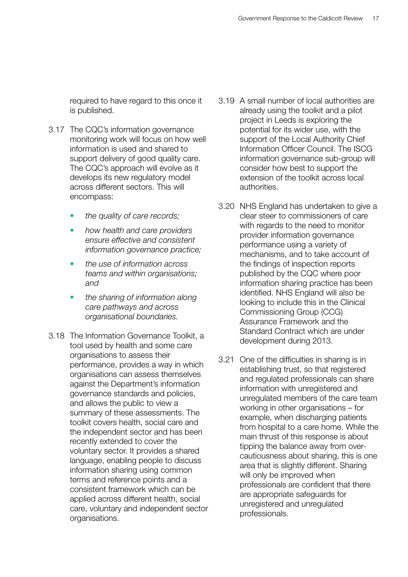required to have regard to this once it is published.

- 3.17 The CQC's information governance monitoring work will focus on how well information is used and shared to support delivery of good quality care. The CQC's approach will evolve as it develops its new regulatory model across different sectors. This will encompass:
	- the quality of care records;
	- • *how health and care providers ensure effective and consistent information governance practice;*
	- • *the use of information across teams and within organisations; and*
	- the sharing of information along *care pathways and across organisational boundaries.*
- 3.18 The Information Governance Toolkit, a tool used by health and some care organisations to assess their performance, provides a way in which organisations can assess themselves against the Department's information governance standards and policies, and allows the public to view a summary of these assessments. The toolkit covers health, social care and the independent sector and has been recently extended to cover the voluntary sector. It provides a shared language, enabling people to discuss information sharing using common terms and reference points and a consistent framework which can be applied across different health, social care, voluntary and independent sector organisations.
- 3.19 A small number of local authorities are already using the toolkit and a pilot project in Leeds is exploring the potential for its wider use, with the support of the Local Authority Chief Information Officer Council. The ISCG information governance sub-group will consider how best to support the extension of the toolkit across local authorities.
- 3.20 NHS England has undertaken to give a clear steer to commissioners of care with regards to the need to monitor provider information governance performance using a variety of mechanisms, and to take account of the findings of inspection reports published by the CQC where poor information sharing practice has been identified. NHS England will also be looking to include this in the Clinical Commissioning Group (CCG) Assurance Framework and the Standard Contract which are under development during 2013.
- 3.21 One of the difficulties in sharing is in establishing trust, so that registered and regulated professionals can share information with unregistered and unregulated members of the care team working in other organisations – for example, when discharging patients from hospital to a care home. While the main thrust of this response is about tipping the balance away from overcautiousness about sharing, this is one area that is slightly different. Sharing will only be improved when professionals are confident that there are appropriate safeguards for unregistered and unregulated professionals.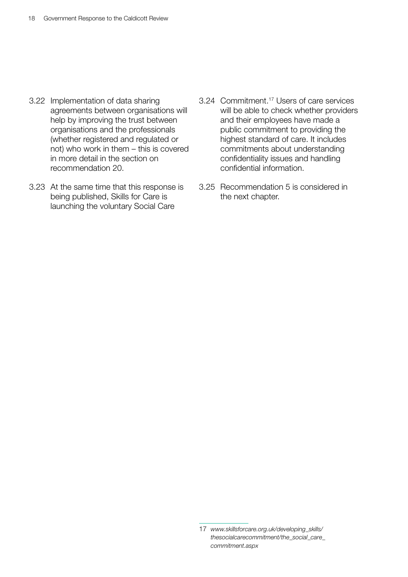- 3.22 Implementation of data sharing agreements between organisations will help by improving the trust between organisations and the professionals (whether registered and regulated or not) who work in them – this is covered in more detail in the section on recommendation 20.
- 3.23 At the same time that this response is being published, Skills for Care is launching the voluntary Social Care
- 3.24 Commitment.17 Users of care services will be able to check whether providers and their employees have made a public commitment to providing the highest standard of care. It includes commitments about understanding confidentiality issues and handling confidential information.
- 3.25 Recommendation 5 is considered in the next chapter.

<sup>17</sup> *[www.skillsforcare.org.uk/developing\\_skills/](www.skillsforcare.org.uk/developing_skills/thesocialcarecommitment/the_social_care_commitment.aspx) [thesocialcarecommitment/the\\_social\\_care\\_](www.skillsforcare.org.uk/developing_skills/thesocialcarecommitment/the_social_care_commitment.aspx) [commitment.aspx](www.skillsforcare.org.uk/developing_skills/thesocialcarecommitment/the_social_care_commitment.aspx)*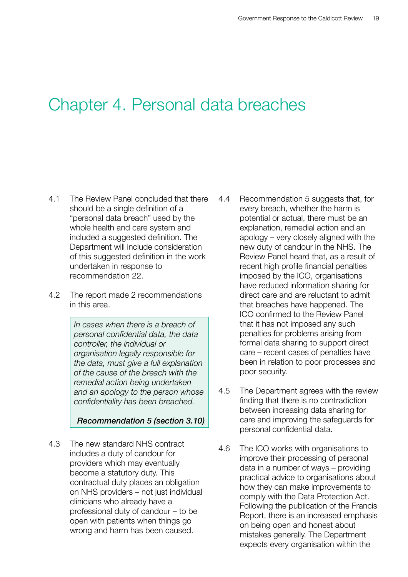### <span id="page-19-0"></span>Chapter 4. Personal data breaches

- 4.1 The Review Panel concluded that there should be a single definition of a "personal data breach" used by the whole health and care system and included a suggested definition. The Department will include consideration of this suggested definition in the work undertaken in response to recommendation 22.
- 4.2 The report made 2 recommendations in this area.

*In cases when there is a breach of personal confidential data, the data controller, the individual or organisation legally responsible for the data, must give a full explanation of the cause of the breach with the remedial action being undertaken and an apology to the person whose confidentiality has been breached.*

*Recommendation 5 (section 3.10)*

4.3 The new standard NHS contract includes a duty of candour for providers which may eventually become a statutory duty. This contractual duty places an obligation on NHS providers – not just individual clinicians who already have a professional duty of candour – to be open with patients when things go wrong and harm has been caused.

- 4.4 Recommendation 5 suggests that, for every breach, whether the harm is potential or actual, there must be an explanation, remedial action and an apology – very closely aligned with the new duty of candour in the NHS. The Review Panel heard that, as a result of recent high profile financial penalties imposed by the ICO, organisations have reduced information sharing for direct care and are reluctant to admit that breaches have happened. The ICO confirmed to the Review Panel that it has not imposed any such penalties for problems arising from formal data sharing to support direct care – recent cases of penalties have been in relation to poor processes and poor security.
- 4.5 The Department agrees with the review finding that there is no contradiction between increasing data sharing for care and improving the safeguards for personal confidential data.
- 4.6 The ICO works with organisations to improve their processing of personal data in a number of ways – providing practical advice to organisations about how they can make improvements to comply with the Data Protection Act. Following the publication of the Francis Report, there is an increased emphasis on being open and honest about mistakes generally. The Department expects every organisation within the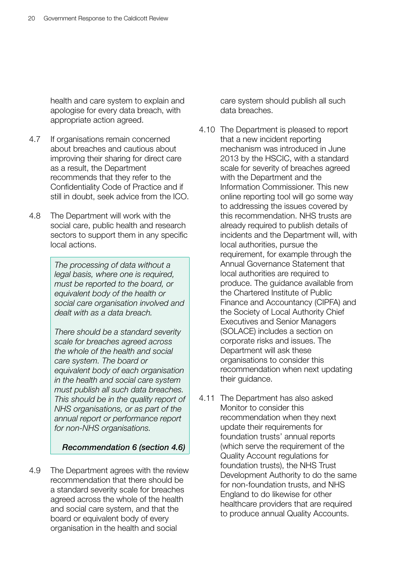health and care system to explain and apologise for every data breach, with appropriate action agreed.

- 4.7 If organisations remain concerned about breaches and cautious about improving their sharing for direct care as a result, the Department recommends that they refer to the Confidentiality Code of Practice and if still in doubt, seek advice from the ICO.
- 4.8 The Department will work with the social care, public health and research sectors to support them in any specific local actions.

*The processing of data without a legal basis, where one is required, must be reported to the board, or equivalent body of the health or social care organisation involved and dealt with as a data breach.*

*There should be a standard severity scale for breaches agreed across the whole of the health and social care system. The board or equivalent body of each organisation in the health and social care system must publish all such data breaches. This should be in the quality report of NHS organisations, or as part of the annual report or performance report for non-NHS organisations.*

*Recommendation 6 (section 4.6)*

4.9 The Department agrees with the review recommendation that there should be a standard severity scale for breaches agreed across the whole of the health and social care system, and that the board or equivalent body of every organisation in the health and social

care system should publish all such data breaches.

- 4.10 The Department is pleased to report that a new incident reporting mechanism was introduced in June 2013 by the HSCIC, with a standard scale for severity of breaches agreed with the Department and the Information Commissioner. This new online reporting tool will go some way to addressing the issues covered by this recommendation. NHS trusts are already required to publish details of incidents and the Department will, with local authorities, pursue the requirement, for example through the Annual Governance Statement that local authorities are required to produce. The guidance available from the Chartered Institute of Public Finance and Accountancy (CIPFA) and the Society of Local Authority Chief Executives and Senior Managers (SOLACE) includes a section on corporate risks and issues. The Department will ask these organisations to consider this recommendation when next updating their guidance.
- 4.11 The Department has also asked Monitor to consider this recommendation when they next update their requirements for foundation trusts' annual reports (which serve the requirement of the Quality Account regulations for foundation trusts), the NHS Trust Development Authority to do the same for non-foundation trusts, and NHS England to do likewise for other healthcare providers that are required to produce annual Quality Accounts.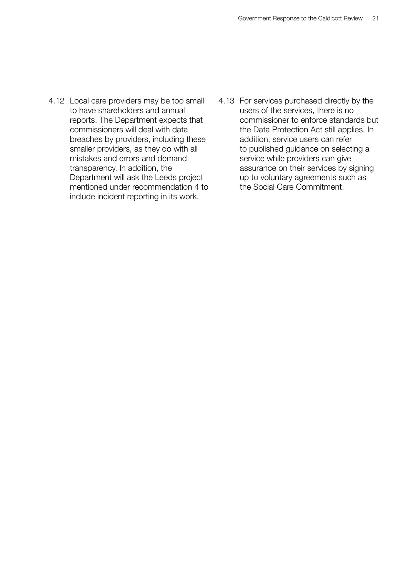- 4.12 Local care providers may be too small to have shareholders and annual reports. The Department expects that commissioners will deal with data breaches by providers, including these smaller providers, as they do with all mistakes and errors and demand transparency. In addition, the Department will ask the Leeds project mentioned under recommendation 4 to include incident reporting in its work.
- 4.13 For services purchased directly by the users of the services, there is no commissioner to enforce standards but the Data Protection Act still applies. In addition, service users can refer to published guidance on selecting a service while providers can give assurance on their services by signing up to voluntary agreements such as the Social Care Commitment.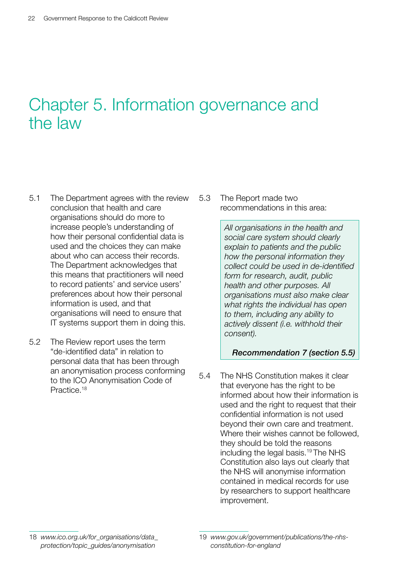# <span id="page-22-0"></span>Chapter 5. Information governance and the law

- 5.1 The Department agrees with the review conclusion that health and care organisations should do more to increase people's understanding of how their personal confidential data is used and the choices they can make about who can access their records. The Department acknowledges that this means that practitioners will need to record patients' and service users' preferences about how their personal information is used, and that organisations will need to ensure that IT systems support them in doing this.
- 5.2 The Review report uses the term "de-identified data" in relation to personal data that has been through an anonymisation process conforming to the ICO Anonymisation Code of Practice.18

5.3 The Report made two recommendations in this area:

> *All organisations in the health and social care system should clearly explain to patients and the public how the personal information they collect could be used in de-identified form for research, audit, public health and other purposes. All organisations must also make clear what rights the individual has open to them, including any ability to actively dissent (i.e. withhold their consent).*

#### *Recommendation 7 (section 5.5)*

5.4 The NHS Constitution makes it clear that everyone has the right to be informed about how their information is used and the right to request that their confidential information is not used beyond their own care and treatment. Where their wishes cannot be followed, they should be told the reasons including the legal basis.19 The NHS Constitution also lays out clearly that the NHS will anonymise information contained in medical records for use by researchers to support healthcare improvement.

<sup>18</sup> *[www.ico.org.uk/for\\_organisations/data\\_](www.ico.org.uk/for_organisations/data_protection/topic_guides/anonymisation) [protection/topic\\_guides/anonymisation](www.ico.org.uk/for_organisations/data_protection/topic_guides/anonymisation)*

<sup>19</sup> *[www.gov.uk/government/publications/the-nhs](www.gov.uk/government/publications/the-nhs-constitution-for-england)[constitution-for-england](www.gov.uk/government/publications/the-nhs-constitution-for-england)*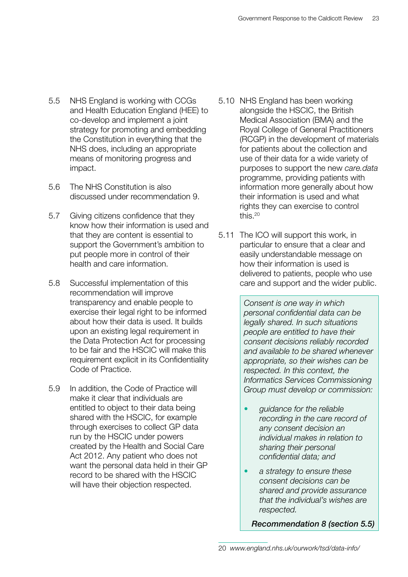- 5.5 NHS England is working with CCGs and Health Education England (HEE) to co-develop and implement a joint strategy for promoting and embedding the Constitution in everything that the NHS does, including an appropriate means of monitoring progress and impact.
- 5.6 The NHS Constitution is also discussed under recommendation 9.
- 5.7 Giving citizens confidence that they know how their information is used and that they are content is essential to support the Government's ambition to put people more in control of their health and care information.
- 5.8 Successful implementation of this recommendation will improve transparency and enable people to exercise their legal right to be informed about how their data is used. It builds upon an existing legal requirement in the Data Protection Act for processing to be fair and the HSCIC will make this requirement explicit in its Confidentiality Code of Practice.
- 5.9 In addition, the Code of Practice will make it clear that individuals are entitled to object to their data being shared with the HSCIC, for example through exercises to collect GP data run by the HSCIC under powers created by the Health and Social Care Act 2012. Any patient who does not want the personal data held in their GP record to be shared with the HSCIC will have their objection respected.
- 5.10 NHS England has been working alongside the HSCIC, the British Medical Association (BMA) and the Royal College of General Practitioners (RCGP) in the development of materials for patients about the collection and use of their data for a wide variety of purposes to support the new *care.data*  programme, providing patients with information more generally about how their information is used and what rights they can exercise to control this.20
- 5.11 The ICO will support this work, in particular to ensure that a clear and easily understandable message on how their information is used is delivered to patients, people who use care and support and the wider public.

*Consent is one way in which personal confidential data can be legally shared. In such situations people are entitled to have their consent decisions reliably recorded and available to be shared whenever appropriate, so their wishes can be respected. In this context, the Informatics Services Commissioning Group must develop or commission:*

- • *guidance for the reliable recording in the care record of any consent decision an individual makes in relation to sharing their personal confidential data; and*
- a strategy to ensure these *consent decisions can be shared and provide assurance that the individual's wishes are respected.*

*Recommendation 8 (section 5.5)*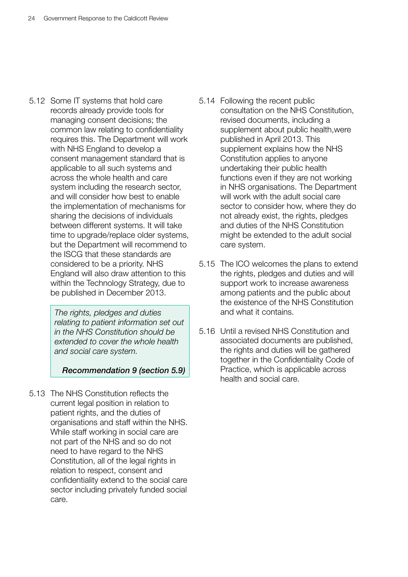5.12 Some IT systems that hold care records already provide tools for managing consent decisions; the common law relating to confidentiality requires this. The Department will work with NHS England to develop a consent management standard that is applicable to all such systems and across the whole health and care system including the research sector, and will consider how best to enable the implementation of mechanisms for sharing the decisions of individuals between different systems. It will take time to upgrade/replace older systems, but the Department will recommend to the ISCG that these standards are considered to be a priority. NHS England will also draw attention to this within the Technology Strategy, due to be published in December 2013.

> *The rights, pledges and duties relating to patient information set out in the NHS Constitution should be extended to cover the whole health and social care system.*

#### *Recommendation 9 (section 5.9)*

5.13 The NHS Constitution reflects the current legal position in relation to patient rights, and the duties of organisations and staff within the NHS. While staff working in social care are not part of the NHS and so do not need to have regard to the NHS Constitution, all of the legal rights in relation to respect, consent and confidentiality extend to the social care sector including privately funded social care.

- 5.14 Following the recent public consultation on the NHS Constitution, revised documents, including a supplement about public health,were published in April 2013. This supplement explains how the NHS Constitution applies to anyone undertaking their public health functions even if they are not working in NHS organisations. The Department will work with the adult social care sector to consider how, where they do not already exist, the rights, pledges and duties of the NHS Constitution might be extended to the adult social care system.
- 5.15 The ICO welcomes the plans to extend the rights, pledges and duties and will support work to increase awareness among patients and the public about the existence of the NHS Constitution and what it contains.
- 5.16 Until a revised NHS Constitution and associated documents are published, the rights and duties will be gathered together in the Confidentiality Code of Practice, which is applicable across health and social care.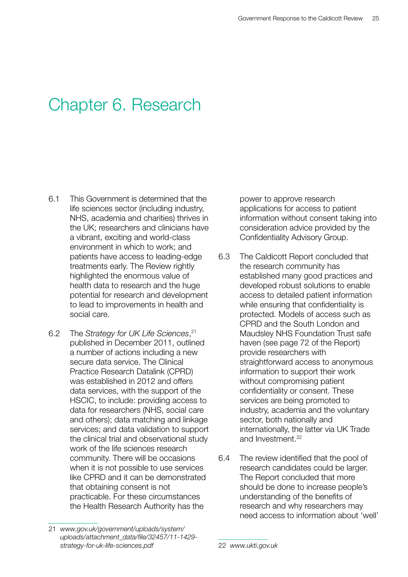# <span id="page-25-0"></span>Chapter 6. Research

- 6.1 This Government is determined that the life sciences sector (including industry, NHS, academia and charities) thrives in the UK; researchers and clinicians have a vibrant, exciting and world-class environment in which to work; and patients have access to leading-edge treatments early. The Review rightly highlighted the enormous value of health data to research and the huge potential for research and development to lead to improvements in health and social care.
- 6.2 The *Strategy for UK Life Sciences*, 21 published in December 2011, outlined a number of actions including a new secure data service. The Clinical Practice Research Datalink (CPRD) was established in 2012 and offers data services, with the support of the HSCIC, to include: providing access to data for researchers (NHS, social care and others); data matching and linkage services; and data validation to support the clinical trial and observational study work of the life sciences research community. There will be occasions when it is not possible to use services like CPRD and it can be demonstrated that obtaining consent is not practicable. For these circumstances the Health Research Authority has the

power to approve research applications for access to patient information without consent taking into consideration advice provided by the Confidentiality Advisory Group.

- 6.3 The Caldicott Report concluded that the research community has established many good practices and developed robust solutions to enable access to detailed patient information while ensuring that confidentiality is protected. Models of access such as CPRD and the South London and Maudsley NHS Foundation Trust safe haven (see page 72 of the Report) provide researchers with straightforward access to anonymous information to support their work without compromising patient confidentiality or consent. These services are being promoted to industry, academia and the voluntary sector, both nationally and internationally, the latter via UK Trade and Investment.22
- 6.4 The review identified that the pool of research candidates could be larger. The Report concluded that more should be done to increase people's understanding of the benefits of research and why researchers may need access to information about 'well'

<sup>21</sup> *[www.gov.uk/government/uploads/system/](www.gov.uk/government/uploads/system/uploads/attachment_data/file/32457/11-1429-strategy-for-uk-life-sciences.pdf) [uploads/attachment\\_data/file/32457/11-1429](www.gov.uk/government/uploads/system/uploads/attachment_data/file/32457/11-1429-strategy-for-uk-life-sciences.pdf) [strategy-for-uk-life-sciences.pdf](www.gov.uk/government/uploads/system/uploads/attachment_data/file/32457/11-1429-strategy-for-uk-life-sciences.pdf)*

<sup>22</sup> *<www.ukti.gov.uk>*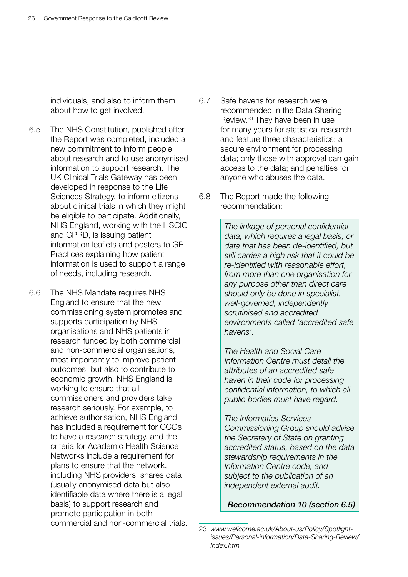individuals, and also to inform them about how to get involved.

- 6.5 The NHS Constitution, published after the Report was completed, included a new commitment to inform people about research and to use anonymised information to support research. The UK Clinical Trials Gateway has been developed in response to the Life Sciences Strategy, to inform citizens about clinical trials in which they might be eligible to participate. Additionally, NHS England, working with the HSCIC and CPRD, is issuing patient information leaflets and posters to GP Practices explaining how patient information is used to support a range of needs, including research.
- 6.6 The NHS Mandate requires NHS England to ensure that the new commissioning system promotes and supports participation by NHS organisations and NHS patients in research funded by both commercial and non-commercial organisations, most importantly to improve patient outcomes, but also to contribute to economic growth. NHS England is working to ensure that all commissioners and providers take research seriously. For example, to achieve authorisation, NHS England has included a requirement for CCGs to have a research strategy, and the criteria for Academic Health Science Networks include a requirement for plans to ensure that the network, including NHS providers, shares data (usually anonymised data but also identifiable data where there is a legal basis) to support research and promote participation in both commercial and non-commercial trials.
- 6.7 Safe havens for research were recommended in the Data Sharing Review.23 They have been in use for many years for statistical research and feature three characteristics: a secure environment for processing data; only those with approval can gain access to the data; and penalties for anyone who abuses the data.
- 6.8 The Report made the following recommendation:

*The linkage of personal confidential data, which requires a legal basis, or data that has been de-identified, but still carries a high risk that it could be re-identified with reasonable effort, from more than one organisation for any purpose other than direct care should only be done in specialist, well-governed, independently scrutinised and accredited environments called 'accredited safe havens'.*

*The Health and Social Care Information Centre must detail the attributes of an accredited safe haven in their code for processing confidential information, to which all public bodies must have regard.*

*The Informatics Services Commissioning Group should advise the Secretary of State on granting accredited status, based on the data stewardship requirements in the Information Centre code, and subject to the publication of an independent external audit.*

*Recommendation 10 (section 6.5)*

<sup>23</sup> *[www.wellcome.ac.uk/About-us/Policy/Spotlight](www.wellcome.ac.uk/About-us/Policy/Spotlight-issues/Personal-information/Data-Sharing-Review/index.htm)[issues/Personal-information/Data-Sharing-Review/](www.wellcome.ac.uk/About-us/Policy/Spotlight-issues/Personal-information/Data-Sharing-Review/index.htm) [index.htm](www.wellcome.ac.uk/About-us/Policy/Spotlight-issues/Personal-information/Data-Sharing-Review/index.htm)*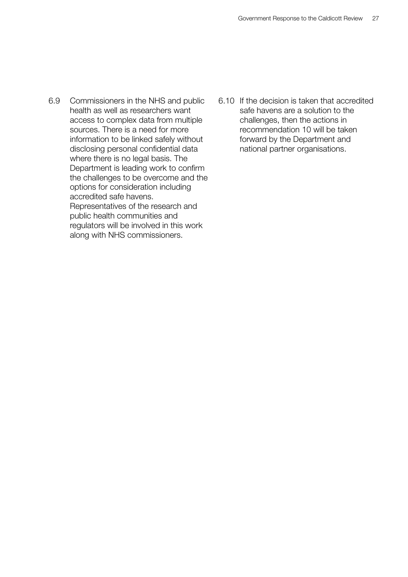- 6.9 Commissioners in the NHS and public health as well as researchers want access to complex data from multiple sources. There is a need for more information to be linked safely without disclosing personal confidential data where there is no legal basis. The Department is leading work to confirm the challenges to be overcome and the options for consideration including accredited safe havens. Representatives of the research and public health communities and regulators will be involved in this work along with NHS commissioners.
- 6.10 If the decision is taken that accredited safe havens are a solution to the challenges, then the actions in recommendation 10 will be taken forward by the Department and national partner organisations.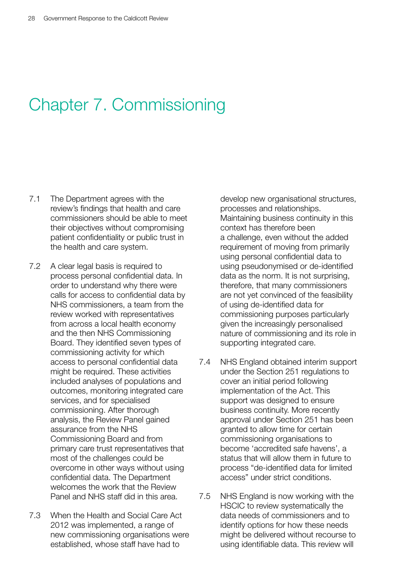# <span id="page-28-0"></span>Chapter 7. Commissioning

- 7.1 The Department agrees with the review's findings that health and care commissioners should be able to meet their objectives without compromising patient confidentiality or public trust in the health and care system.
- 7.2 A clear legal basis is required to process personal confidential data. In order to understand why there were calls for access to confidential data by NHS commissioners, a team from the review worked with representatives from across a local health economy and the then NHS Commissioning Board. They identified seven types of commissioning activity for which access to personal confidential data might be required. These activities included analyses of populations and outcomes, monitoring integrated care services, and for specialised commissioning. After thorough analysis, the Review Panel gained assurance from the NHS Commissioning Board and from primary care trust representatives that most of the challenges could be overcome in other ways without using confidential data. The Department welcomes the work that the Review Panel and NHS staff did in this area.
- 7.3 When the Health and Social Care Act 2012 was implemented, a range of new commissioning organisations were established, whose staff have had to

develop new organisational structures, processes and relationships. Maintaining business continuity in this context has therefore been a challenge, even without the added requirement of moving from primarily using personal confidential data to using pseudonymised or de-identified data as the norm. It is not surprising, therefore, that many commissioners are not yet convinced of the feasibility of using de-identified data for commissioning purposes particularly given the increasingly personalised nature of commissioning and its role in supporting integrated care.

- 7.4 NHS England obtained interim support under the Section 251 regulations to cover an initial period following implementation of the Act. This support was designed to ensure business continuity. More recently approval under Section 251 has been granted to allow time for certain commissioning organisations to become 'accredited safe havens', a status that will allow them in future to process "de-identified data for limited access" under strict conditions.
- 7.5 NHS England is now working with the HSCIC to review systematically the data needs of commissioners and to identify options for how these needs might be delivered without recourse to using identifiable data. This review will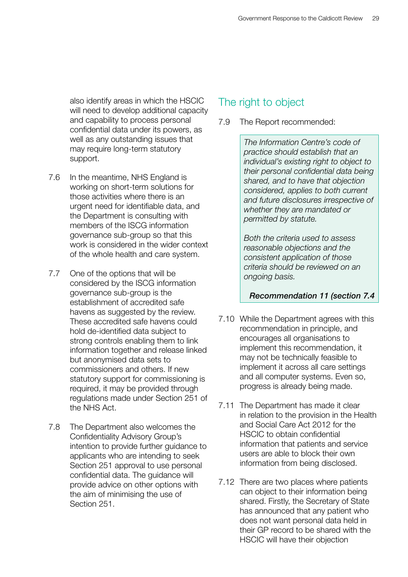also identify areas in which the HSCIC will need to develop additional capacity and capability to process personal confidential data under its powers, as well as any outstanding issues that may require long-term statutory support.

- 7.6 In the meantime, NHS England is working on short-term solutions for those activities where there is an urgent need for identifiable data, and the Department is consulting with members of the ISCG information governance sub-group so that this work is considered in the wider context of the whole health and care system.
- 7.7 One of the options that will be considered by the ISCG information governance sub-group is the establishment of accredited safe havens as suggested by the review. These accredited safe havens could hold de-identified data subject to strong controls enabling them to link information together and release linked but anonymised data sets to commissioners and others. If new statutory support for commissioning is required, it may be provided through regulations made under Section 251 of the NHS Act.
- 7.8 The Department also welcomes the Confidentiality Advisory Group's intention to provide further guidance to applicants who are intending to seek Section 251 approval to use personal confidential data. The guidance will provide advice on other options with the aim of minimising the use of Section 251.

### The right to object

7.9 The Report recommended:

*The Information Centre's code of practice should establish that an individual's existing right to object to their personal confidential data being shared, and to have that objection considered, applies to both current and future disclosures irrespective of whether they are mandated or permitted by statute.*

*Both the criteria used to assess reasonable objections and the consistent application of those criteria should be reviewed on an ongoing basis.*

#### *Recommendation 11 (section 7.4*

- 7.10 While the Department agrees with this recommendation in principle, and encourages all organisations to implement this recommendation, it may not be technically feasible to implement it across all care settings and all computer systems. Even so, progress is already being made.
- 7.11 The Department has made it clear in relation to the provision in the Health and Social Care Act 2012 for the HSCIC to obtain confidential information that patients and service users are able to block their own information from being disclosed.
- 7.12 There are two places where patients can object to their information being shared. Firstly, the Secretary of State has announced that any patient who does not want personal data held in their GP record to be shared with the HSCIC will have their objection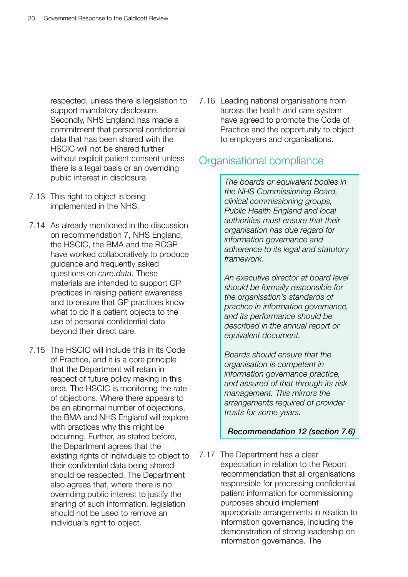respected, unless there is legislation to support mandatory disclosure. Secondly, NHS England has made a commitment that personal confidential data that has been shared with the HSCIC will not be shared further without explicit patient consent unless there is a legal basis or an overriding public interest in disclosure.

- 7.13 This right to object is being implemented in the NHS.
- 7.14 As already mentioned in the discussion on recommendation 7, NHS England, the HSCIC, the BMA and the RCGP have worked collaboratively to produce guidance and frequently asked questions on *care.data*. These materials are intended to support GP practices in raising patient awareness and to ensure that GP practices know what to do if a patient objects to the use of personal confidential data beyond their direct care.
- 7.15 The HSCIC will include this in its Code of Practice, and it is a core principle that the Department will retain in respect of future policy making in this area. The HSCIC is monitoring the rate of objections. Where there appears to be an abnormal number of objections, the BMA and NHS England will explore with practices why this might be occurring. Further, as stated before, the Department agrees that the existing rights of individuals to object to their confidential data being shared should be respected. The Department also agrees that, where there is no overriding public interest to justify the sharing of such information, legislation should not be used to remove an individual's right to object.

7.16 Leading national organisations from across the health and care system have agreed to promote the Code of Practice and the opportunity to object to employers and organisations.

### Organisational compliance

*The boards or equivalent bodies in the NHS Commissioning Board, clinical commissioning groups, Public Health England and local authorities must ensure that their organisation has due regard for information governance and adherence to its legal and statutory framework.*

*An executive director at board level should be formally responsible for the organisation's standards of practice in information governance, and its performance should be described in the annual report or equivalent document.*

*Boards should ensure that the organisation is competent in information governance practice, and assured of that through its risk management. This mirrors the arrangements required of provider trusts for some years.*

#### *Recommendation 12 (section 7.6)*

7.17 The Department has a clear expectation in relation to the Report recommendation that all organisations responsible for processing confidential patient information for commissioning purposes should implement appropriate arrangements in relation to information governance, including the demonstration of strong leadership on information governance. The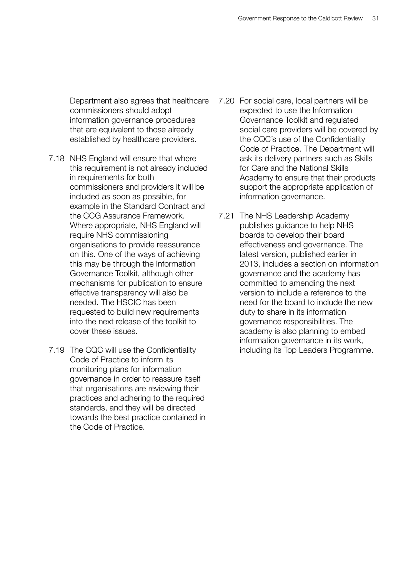Department also agrees that healthcare commissioners should adopt information governance procedures that are equivalent to those already established by healthcare providers.

- 7.18 NHS England will ensure that where this requirement is not already included in requirements for both commissioners and providers it will be included as soon as possible, for example in the Standard Contract and the CCG Assurance Framework. Where appropriate, NHS England will require NHS commissioning organisations to provide reassurance on this. One of the ways of achieving this may be through the Information Governance Toolkit, although other mechanisms for publication to ensure effective transparency will also be needed. The HSCIC has been requested to build new requirements into the next release of the toolkit to cover these issues.
- 7.19 The CQC will use the Confidentiality Code of Practice to inform its monitoring plans for information governance in order to reassure itself that organisations are reviewing their practices and adhering to the required standards, and they will be directed towards the best practice contained in the Code of Practice.
- 7.20 For social care, local partners will be expected to use the Information Governance Toolkit and regulated social care providers will be covered by the CQC's use of the Confidentiality Code of Practice. The Department will ask its delivery partners such as Skills for Care and the National Skills Academy to ensure that their products support the appropriate application of information governance.
- 7.21 The NHS Leadership Academy publishes guidance to help NHS boards to develop their board effectiveness and governance. The latest version, published earlier in 2013, includes a section on information governance and the academy has committed to amending the next version to include a reference to the need for the board to include the new duty to share in its information governance responsibilities. The academy is also planning to embed information governance in its work, including its Top Leaders Programme.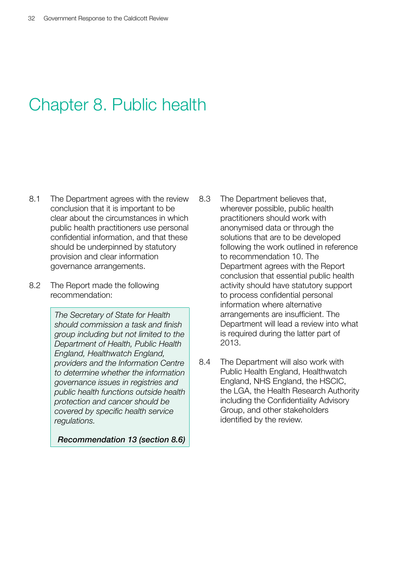# <span id="page-32-0"></span>Chapter 8. Public health

- 8.1 The Department agrees with the review conclusion that it is important to be clear about the circumstances in which public health practitioners use personal confidential information, and that these should be underpinned by statutory provision and clear information governance arrangements.
- 8.2 The Report made the following recommendation:

*The Secretary of State for Health should commission a task and finish group including but not limited to the Department of Health, Public Health England, Healthwatch England, providers and the Information Centre to determine whether the information governance issues in registries and public health functions outside health protection and cancer should be covered by specific health service regulations.*

*Recommendation 13 (section 8.6)*

- 8.3 The Department believes that, wherever possible, public health practitioners should work with anonymised data or through the solutions that are to be developed following the work outlined in reference to recommendation 10. The Department agrees with the Report conclusion that essential public health activity should have statutory support to process confidential personal information where alternative arrangements are insufficient. The Department will lead a review into what is required during the latter part of 2013.
- 8.4 The Department will also work with Public Health England, Healthwatch England, NHS England, the HSCIC, the LGA, the Health Research Authority including the Confidentiality Advisory Group, and other stakeholders identified by the review.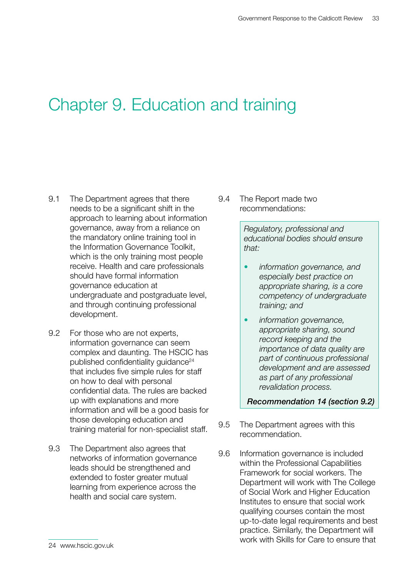# <span id="page-33-0"></span>Chapter 9. Education and training

- 9.1 The Department agrees that there needs to be a significant shift in the approach to learning about information governance, away from a reliance on the mandatory online training tool in the Information Governance Toolkit, which is the only training most people receive. Health and care professionals should have formal information governance education at undergraduate and postgraduate level, and through continuing professional development.
- 9.2 For those who are not experts, information governance can seem complex and daunting. The HSCIC has published confidentiality guidance<sup>24</sup> that includes five simple rules for staff on how to deal with personal confidential data. The rules are backed up with explanations and more information and will be a good basis for those developing education and training material for non-specialist staff.
- 9.3 The Department also agrees that networks of information governance leads should be strengthened and extended to foster greater mutual learning from experience across the health and social care system.

9.4 The Report made two recommendations:

> *Regulatory, professional and educational bodies should ensure that:*

- information governance, and *especially best practice on appropriate sharing, is a core competency of undergraduate training; and*
- • *information governance, appropriate sharing, sound record keeping and the importance of data quality are part of continuous professional development and are assessed as part of any professional revalidation process.*

*Recommendation 14 (section 9.2)*

- 9.5 The Department agrees with this recommendation.
- 9.6 Information governance is included within the Professional Capabilities Framework for social workers. The Department will work with The College of Social Work and Higher Education Institutes to ensure that social work qualifying courses contain the most up-to-date legal requirements and best practice. Similarly, the Department will work with Skills for Care to ensure that

<sup>24</sup> <www.hscic.gov.uk>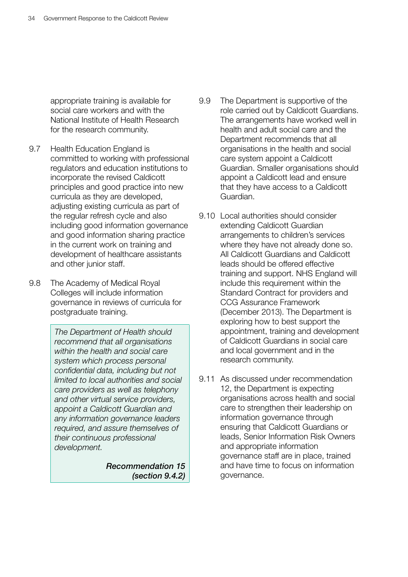appropriate training is available for social care workers and with the National Institute of Health Research for the research community.

- 9.7 Health Education England is committed to working with professional regulators and education institutions to incorporate the revised Caldicott principles and good practice into new curricula as they are developed, adjusting existing curricula as part of the regular refresh cycle and also including good information governance and good information sharing practice in the current work on training and development of healthcare assistants and other junior staff.
- 9.8 The Academy of Medical Royal Colleges will include information governance in reviews of curricula for postgraduate training.

*The Department of Health should recommend that all organisations within the health and social care system which process personal confidential data, including but not limited to local authorities and social care providers as well as telephony and other virtual service providers, appoint a Caldicott Guardian and any information governance leaders required, and assure themselves of their continuous professional development.*

> *Recommendation 15 (section 9.4.2)*

- 9.9 The Department is supportive of the role carried out by Caldicott Guardians. The arrangements have worked well in health and adult social care and the Department recommends that all organisations in the health and social care system appoint a Caldicott Guardian. Smaller organisations should appoint a Caldicott lead and ensure that they have access to a Caldicott Guardian.
- 9.10 Local authorities should consider extending Caldicott Guardian arrangements to children's services where they have not already done so. All Caldicott Guardians and Caldicott leads should be offered effective training and support. NHS England will include this requirement within the Standard Contract for providers and CCG Assurance Framework (December 2013). The Department is exploring how to best support the appointment, training and development of Caldicott Guardians in social care and local government and in the research community.
- 9.11 As discussed under recommendation 12, the Department is expecting organisations across health and social care to strengthen their leadership on information governance through ensuring that Caldicott Guardians or leads, Senior Information Risk Owners and appropriate information governance staff are in place, trained and have time to focus on information governance.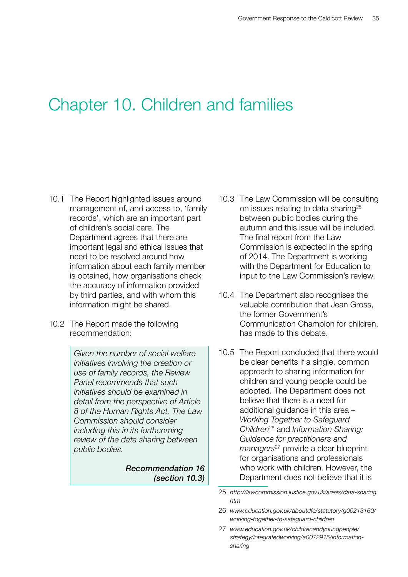### <span id="page-35-0"></span>Chapter 10. Children and families

- 10.1 The Report highlighted issues around management of, and access to, 'family records', which are an important part of children's social care. The Department agrees that there are important legal and ethical issues that need to be resolved around how information about each family member is obtained, how organisations check the accuracy of information provided by third parties, and with whom this information might be shared.
- 10.2 The Report made the following recommendation:

*Given the number of social welfare initiatives involving the creation or use of family records, the Review Panel recommends that such initiatives should be examined in detail from the perspective of Article 8 of the Human Rights Act. The Law Commission should consider including this in its forthcoming review of the data sharing between public bodies.*

> *Recommendation 16 (section 10.3)*

- 10.3 The Law Commission will be consulting on issues relating to data sharing<sup>25</sup> between public bodies during the autumn and this issue will be included. The final report from the Law Commission is expected in the spring of 2014. The Department is working with the Department for Education to input to the Law Commission's review.
- 10.4 The Department also recognises the valuable contribution that Jean Gross, the former Government's Communication Champion for children, has made to this debate.
- 10.5 The Report concluded that there would be clear benefits if a single, common approach to sharing information for children and young people could be adopted. The Department does not believe that there is a need for additional guidance in this area – *Working Together to Safeguard Children*26 and *Information Sharing: Guidance for practitioners and managers*27 provide a clear blueprint for organisations and professionals who work with children. However, the Department does not believe that it is

<sup>25</sup> *[http://lawcommission.justice.gov.uk/areas/data-sharing.](http://lawcommission.justice.gov.uk/areas/data-sharing.htm) [htm](http://lawcommission.justice.gov.uk/areas/data-sharing.htm)*

<sup>26</sup> *[www.education.gov.uk/aboutdfe/statutory/g00213160/](www.education.gov.uk/aboutdfe/statutory/g00213160/working-together-to-safeguard-children) [working-together-to-safeguard-children](www.education.gov.uk/aboutdfe/statutory/g00213160/working-together-to-safeguard-children)*

<sup>27</sup> *[www.education.gov.uk/childrenandyoungpeople/](www.education.gov.uk/childrenandyoungpeople/strategy/integratedworking/a0072915/information-sharing) [strategy/integratedworking/a0072915/information](www.education.gov.uk/childrenandyoungpeople/strategy/integratedworking/a0072915/information-sharing)[sharing](www.education.gov.uk/childrenandyoungpeople/strategy/integratedworking/a0072915/information-sharing)*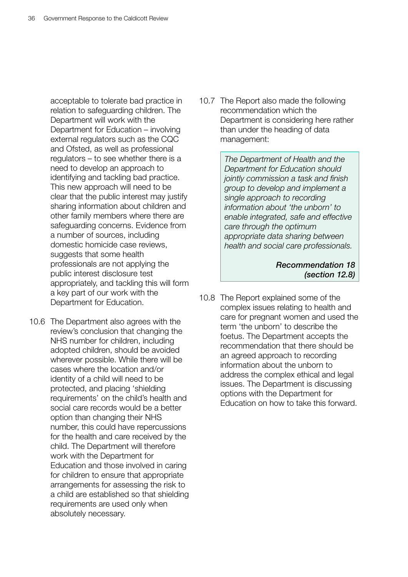acceptable to tolerate bad practice in relation to safeguarding children. The Department will work with the Department for Education – involving external regulators such as the CQC and Ofsted, as well as professional regulators – to see whether there is a need to develop an approach to identifying and tackling bad practice. This new approach will need to be clear that the public interest may justify sharing information about children and other family members where there are safeguarding concerns. Evidence from a number of sources, including domestic homicide case reviews, suggests that some health professionals are not applying the public interest disclosure test appropriately, and tackling this will form a key part of our work with the Department for Education.

10.6 The Department also agrees with the review's conclusion that changing the NHS number for children, including adopted children, should be avoided wherever possible. While there will be cases where the location and/or identity of a child will need to be protected, and placing 'shielding requirements' on the child's health and social care records would be a better option than changing their NHS number, this could have repercussions for the health and care received by the child. The Department will therefore work with the Department for Education and those involved in caring for children to ensure that appropriate arrangements for assessing the risk to a child are established so that shielding requirements are used only when absolutely necessary.

10.7 The Report also made the following recommendation which the Department is considering here rather than under the heading of data management:

> *The Department of Health and the Department for Education should jointly commission a task and finish group to develop and implement a single approach to recording information about 'the unborn' to enable integrated, safe and effective care through the optimum appropriate data sharing between health and social care professionals.*

> > *Recommendation 18 (section 12.8)*

10.8 The Report explained some of the complex issues relating to health and care for pregnant women and used the term 'the unborn' to describe the foetus. The Department accepts the recommendation that there should be an agreed approach to recording information about the unborn to address the complex ethical and legal issues. The Department is discussing options with the Department for Education on how to take this forward.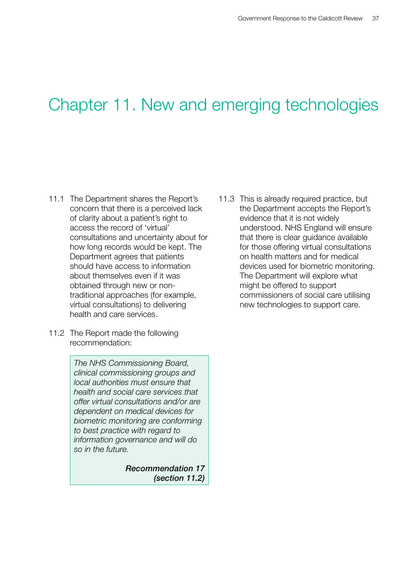# <span id="page-37-0"></span>Chapter 11. New and emerging technologies

- 11.1 The Department shares the Report's concern that there is a perceived lack of clarity about a patient's right to access the record of 'virtual' consultations and uncertainty about for how long records would be kept. The Department agrees that patients should have access to information about themselves even if it was obtained through new or nontraditional approaches (for example, virtual consultations) to delivering health and care services.
- 11.2 The Report made the following recommendation:

*The NHS Commissioning Board, clinical commissioning groups and local authorities must ensure that health and social care services that offer virtual consultations and/or are dependent on medical devices for biometric monitoring are conforming to best practice with regard to information governance and will do so in the future.*

> *Recommendation 17 (section 11.2)*

11.3 This is already required practice, but the Department accepts the Report's evidence that it is not widely understood. NHS England will ensure that there is clear guidance available for those offering virtual consultations on health matters and for medical devices used for biometric monitoring. The Department will explore what might be offered to support commissioners of social care utilising new technologies to support care.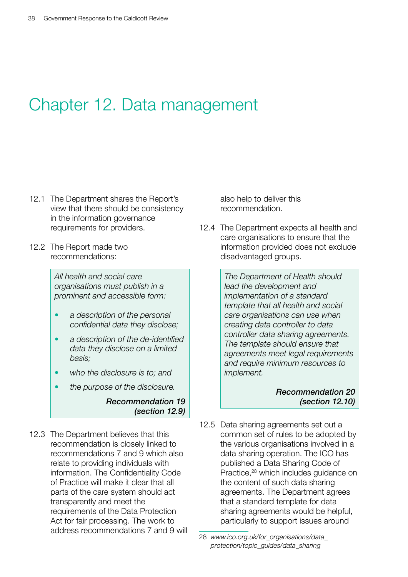## <span id="page-38-0"></span>Chapter 12. Data management

- 12.1 The Department shares the Report's view that there should be consistency in the information governance requirements for providers.
- 12.2 The Report made two recommendations:

*All health and social care organisations must publish in a prominent and accessible form:*

- a description of the personal *confidential data they disclose;*
- • *a description of the de-identified data they disclose on a limited basis;*
- who the disclosure is to; and
- the purpose of the disclosure.

#### *Recommendation 19 (section 12.9)*

12.3 The Department believes that this recommendation is closely linked to recommendations 7 and 9 which also relate to providing individuals with information. The Confidentiality Code of Practice will make it clear that all parts of the care system should act transparently and meet the requirements of the Data Protection Act for fair processing. The work to address recommendations 7 and 9 will also help to deliver this recommendation.

12.4 The Department expects all health and care organisations to ensure that the information provided does not exclude disadvantaged groups.

> *The Department of Health should lead the development and implementation of a standard template that all health and social care organisations can use when creating data controller to data controller data sharing agreements. The template should ensure that agreements meet legal requirements and require minimum resources to implement.*

#### *Recommendation 20 (section 12.10)*

12.5 Data sharing agreements set out a common set of rules to be adopted by the various organisations involved in a data sharing operation. The ICO has published a Data Sharing Code of Practice,<sup>28</sup> which includes guidance on the content of such data sharing agreements. The Department agrees that a standard template for data sharing agreements would be helpful, particularly to support issues around

<sup>28</sup> *[www.ico.org.uk/for\\_organisations/data\\_](www.ico.org.uk/for_organisations/data_protection/topic_guides/data_sharing) [protection/topic\\_guides/data\\_sharing](www.ico.org.uk/for_organisations/data_protection/topic_guides/data_sharing)*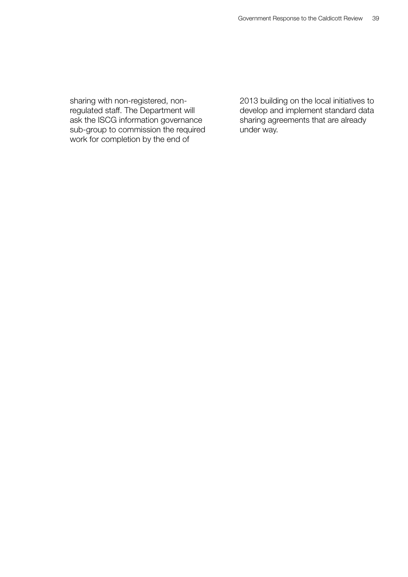sharing with non-registered, nonregulated staff. The Department will ask the ISCG information governance sub-group to commission the required work for completion by the end of

2013 building on the local initiatives to develop and implement standard data sharing agreements that are already under way.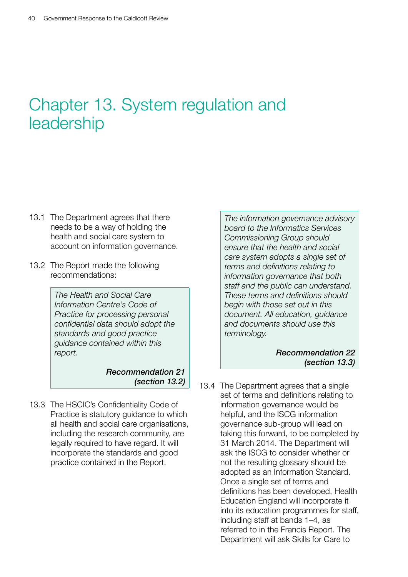# <span id="page-40-0"></span>Chapter 13. System regulation and leadership

- 13.1 The Department agrees that there needs to be a way of holding the health and social care system to account on information governance.
- 13.2 The Report made the following recommendations:

*The Health and Social Care Information Centre's Code of Practice for processing personal confidential data should adopt the standards and good practice guidance contained within this report.*

> *Recommendation 21 (section 13.2)*

13.3 The HSCIC's Confidentiality Code of Practice is statutory guidance to which all health and social care organisations, including the research community, are legally required to have regard. It will incorporate the standards and good practice contained in the Report.

*The information governance advisory board to the Informatics Services Commissioning Group should ensure that the health and social care system adopts a single set of terms and definitions relating to information governance that both staff and the public can understand. These terms and definitions should begin with those set out in this document. All education, guidance and documents should use this terminology.*

> *Recommendation 22 (section 13.3)*

13.4 The Department agrees that a single set of terms and definitions relating to information governance would be helpful, and the ISCG information governance sub-group will lead on taking this forward, to be completed by 31 March 2014. The Department will ask the ISCG to consider whether or not the resulting glossary should be adopted as an Information Standard. Once a single set of terms and definitions has been developed, Health Education England will incorporate it into its education programmes for staff, including staff at bands 1–4, as referred to in the Francis Report. The Department will ask Skills for Care to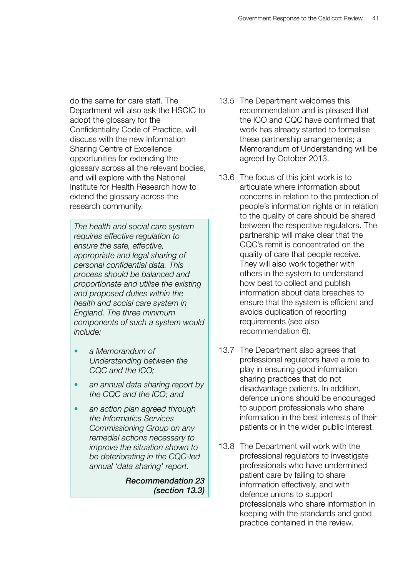do the same for care staff. The Department will also ask the HSCIC to adopt the glossary for the Confidentiality Code of Practice, will discuss with the new Information Sharing Centre of Excellence opportunities for extending the glossary across all the relevant bodies, and will explore with the National Institute for Health Research how to extend the glossary across the research community.

*The health and social care system requires effective regulation to ensure the safe, effective, appropriate and legal sharing of personal confidential data. This process should be balanced and proportionate and utilise the existing and proposed duties within the health and social care system in England. The three minimum components of such a system would include:*

- a Memorandum of *Understanding between the CQC and the ICO;*
- an annual data sharing report by *the CQC and the ICO; and*
- an action plan agreed through *the Informatics Services Commissioning Group on any remedial actions necessary to improve the situation shown to be deteriorating in the CQC-led annual 'data sharing' report.*

*Recommendation 23 (section 13.3)*

- 13.5 The Department welcomes this recommendation and is pleased that the ICO and CQC have confirmed that work has already started to formalise these partnership arrangements; a Memorandum of Understanding will be agreed by October 2013.
- 13.6 The focus of this joint work is to articulate where information about concerns in relation to the protection of people's information rights or in relation to the quality of care should be shared between the respective regulators. The partnership will make clear that the CQC's remit is concentrated on the quality of care that people receive. They will also work together with others in the system to understand how best to collect and publish information about data breaches to ensure that the system is efficient and avoids duplication of reporting requirements (see also recommendation 6).
- 13.7 The Department also agrees that professional regulators have a role to play in ensuring good information sharing practices that do not disadvantage patients. In addition, defence unions should be encouraged to support professionals who share information in the best interests of their patients or in the wider public interest.
- 13.8 The Department will work with the professional regulators to investigate professionals who have undermined patient care by failing to share information effectively, and with defence unions to support professionals who share information in keeping with the standards and good practice contained in the review.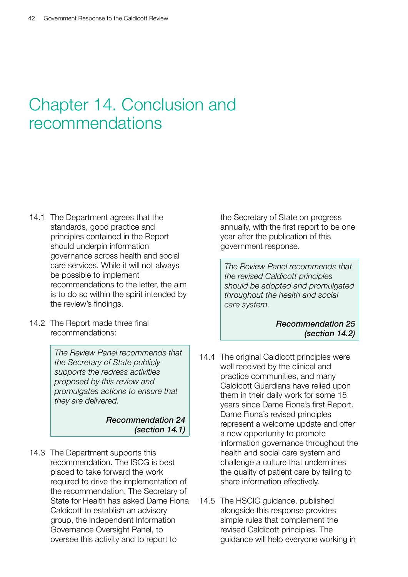# <span id="page-42-0"></span>Chapter 14. Conclusion and recommendations

- 14.1 The Department agrees that the standards, good practice and principles contained in the Report should underpin information governance across health and social care services. While it will not always be possible to implement recommendations to the letter, the aim is to do so within the spirit intended by the review's findings.
- 14.2 The Report made three final recommendations:

*The Review Panel recommends that the Secretary of State publicly supports the redress activities proposed by this review and promulgates actions to ensure that they are delivered.*

#### *Recommendation 24 (section 14.1)*

14.3 The Department supports this recommendation. The ISCG is best placed to take forward the work required to drive the implementation of the recommendation. The Secretary of State for Health has asked Dame Fiona Caldicott to establish an advisory group, the Independent Information Governance Oversight Panel, to oversee this activity and to report to

the Secretary of State on progress annually, with the first report to be one year after the publication of this government response.

*The Review Panel recommends that the revised Caldicott principles should be adopted and promulgated throughout the health and social care system.*

> *Recommendation 25 (section 14.2)*

- 14.4 The original Caldicott principles were well received by the clinical and practice communities, and many Caldicott Guardians have relied upon them in their daily work for some 15 years since Dame Fiona's first Report. Dame Fiona's revised principles represent a welcome update and offer a new opportunity to promote information governance throughout the health and social care system and challenge a culture that undermines the quality of patient care by failing to share information effectively.
- 14.5 The HSCIC guidance, published alongside this response provides simple rules that complement the revised Caldicott principles. The guidance will help everyone working in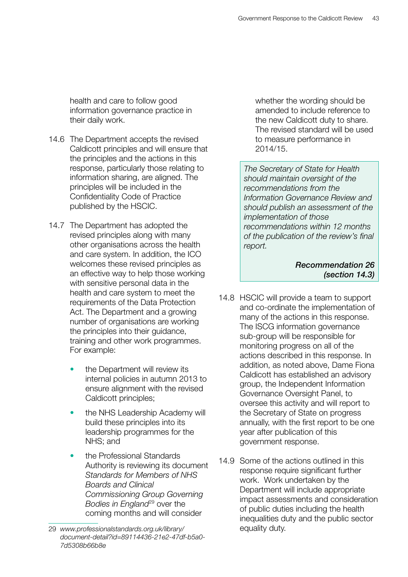health and care to follow good information governance practice in their daily work.

- 14.6 The Department accepts the revised Caldicott principles and will ensure that the principles and the actions in this response, particularly those relating to information sharing, are aligned. The principles will be included in the Confidentiality Code of Practice published by the HSCIC.
- 14.7 The Department has adopted the revised principles along with many other organisations across the health and care system. In addition, the ICO welcomes these revised principles as an effective way to help those working with sensitive personal data in the health and care system to meet the requirements of the Data Protection Act. The Department and a growing number of organisations are working the principles into their guidance, training and other work programmes. For example:
	- the Department will review its internal policies in autumn 2013 to ensure alignment with the revised Caldicott principles;
	- the NHS Leadership Academy will build these principles into its leadership programmes for the NHS; and
	- the Professional Standards Authority is reviewing its document *Standards for Members of NHS Boards and Clinical Commissioning Group Governing Bodies in England*<sup>29</sup> over the coming months and will consider

whether the wording should be amended to include reference to the new Caldicott duty to share. The revised standard will be used to measure performance in 2014/15.

*The Secretary of State for Health should maintain oversight of the recommendations from the Information Governance Review and should publish an assessment of the implementation of those recommendations within 12 months of the publication of the review's final report.*

> *Recommendation 26 (section 14.3)*

- 14.8 HSCIC will provide a team to support and co-ordinate the implementation of many of the actions in this response. The ISCG information governance sub-group will be responsible for monitoring progress on all of the actions described in this response. In addition, as noted above, Dame Fiona Caldicott has established an advisory group, the Independent Information Governance Oversight Panel, to oversee this activity and will report to the Secretary of State on progress annually, with the first report to be one year after publication of this government response.
- 14.9 Some of the actions outlined in this response require significant further work. Work undertaken by the Department will include appropriate impact assessments and consideration of public duties including the health inequalities duty and the public sector equality duty.

<sup>29</sup> *[www.professionalstandards.org.uk/library/](www.professionalstandards.org.uk/library/document-detail?id=89114436-21e2-47df-b5a0-7d5308b66b8e) [document-detail?id=89114436-21e2-47df-b5a0-](www.professionalstandards.org.uk/library/document-detail?id=89114436-21e2-47df-b5a0-7d5308b66b8e) [7d5308b66b8e](www.professionalstandards.org.uk/library/document-detail?id=89114436-21e2-47df-b5a0-7d5308b66b8e)*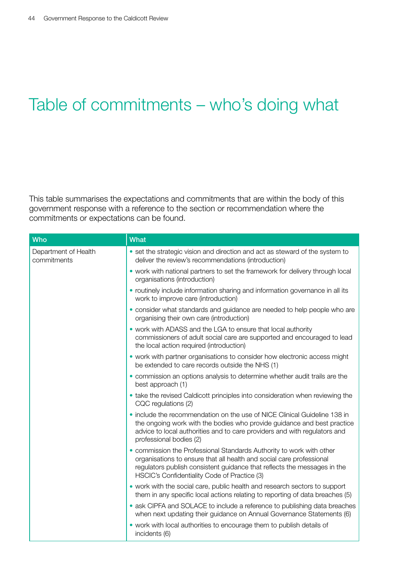# <span id="page-44-0"></span>Table of commitments – who's doing what

This table summarises the expectations and commitments that are within the body of this government response with a reference to the section or recommendation where the commitments or expectations can be found.

| <b>Who</b>                          | <b>What</b>                                                                                                                                                                                                                                                              |
|-------------------------------------|--------------------------------------------------------------------------------------------------------------------------------------------------------------------------------------------------------------------------------------------------------------------------|
| Department of Health<br>commitments | • set the strategic vision and direction and act as steward of the system to<br>deliver the review's recommendations (introduction)                                                                                                                                      |
|                                     | • work with national partners to set the framework for delivery through local<br>organisations (introduction)                                                                                                                                                            |
|                                     | • routinely include information sharing and information governance in all its<br>work to improve care (introduction)                                                                                                                                                     |
|                                     | · consider what standards and guidance are needed to help people who are<br>organising their own care (introduction)                                                                                                                                                     |
|                                     | • work with ADASS and the LGA to ensure that local authority<br>commissioners of adult social care are supported and encouraged to lead<br>the local action required (introduction)                                                                                      |
|                                     | • work with partner organisations to consider how electronic access might<br>be extended to care records outside the NHS (1)                                                                                                                                             |
|                                     | • commission an options analysis to determine whether audit trails are the<br>best approach (1)                                                                                                                                                                          |
|                                     | • take the revised Caldicott principles into consideration when reviewing the<br>CQC regulations (2)                                                                                                                                                                     |
|                                     | . include the recommendation on the use of NICE Clinical Guideline 138 in<br>the ongoing work with the bodies who provide guidance and best practice<br>advice to local authorities and to care providers and with regulators and<br>professional bodies (2)             |
|                                     | • commission the Professional Standards Authority to work with other<br>organisations to ensure that all health and social care professional<br>regulators publish consistent guidance that reflects the messages in the<br>HSCIC's Confidentiality Code of Practice (3) |
|                                     | • work with the social care, public health and research sectors to support<br>them in any specific local actions relating to reporting of data breaches (5)                                                                                                              |
|                                     | • ask CIPFA and SOLACE to include a reference to publishing data breaches<br>when next updating their guidance on Annual Governance Statements (6)                                                                                                                       |
|                                     | • work with local authorities to encourage them to publish details of<br>incidents (6)                                                                                                                                                                                   |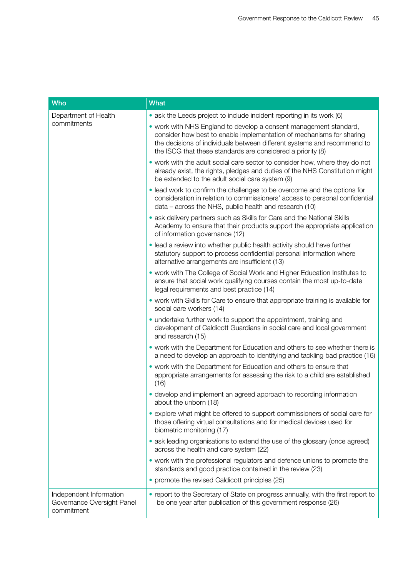| <b>Who</b>                                                          | <b>What</b>                                                                                                                                                                                                                                                                         |
|---------------------------------------------------------------------|-------------------------------------------------------------------------------------------------------------------------------------------------------------------------------------------------------------------------------------------------------------------------------------|
| Department of Health<br>commitments                                 | • ask the Leeds project to include incident reporting in its work (6)                                                                                                                                                                                                               |
|                                                                     | • work with NHS England to develop a consent management standard,<br>consider how best to enable implementation of mechanisms for sharing<br>the decisions of individuals between different systems and recommend to<br>the ISCG that these standards are considered a priority (8) |
|                                                                     | • work with the adult social care sector to consider how, where they do not<br>already exist, the rights, pledges and duties of the NHS Constitution might<br>be extended to the adult social care system (9)                                                                       |
|                                                                     | • lead work to confirm the challenges to be overcome and the options for<br>consideration in relation to commissioners' access to personal confidential<br>data – across the NHS, public health and research (10)                                                                   |
|                                                                     | • ask delivery partners such as Skills for Care and the National Skills<br>Academy to ensure that their products support the appropriate application<br>of information governance (12)                                                                                              |
|                                                                     | · lead a review into whether public health activity should have further<br>statutory support to process confidential personal information where<br>alternative arrangements are insufficient (13)                                                                                   |
|                                                                     | . work with The College of Social Work and Higher Education Institutes to<br>ensure that social work qualifying courses contain the most up-to-date<br>legal requirements and best practice (14)                                                                                    |
|                                                                     | • work with Skills for Care to ensure that appropriate training is available for<br>social care workers (14)                                                                                                                                                                        |
|                                                                     | • undertake further work to support the appointment, training and<br>development of Caldicott Guardians in social care and local government<br>and research (15)                                                                                                                    |
|                                                                     | • work with the Department for Education and others to see whether there is<br>a need to develop an approach to identifying and tackling bad practice (16)                                                                                                                          |
|                                                                     | • work with the Department for Education and others to ensure that<br>appropriate arrangements for assessing the risk to a child are established<br>(16)                                                                                                                            |
|                                                                     | • develop and implement an agreed approach to recording information<br>about the unborn (18)                                                                                                                                                                                        |
|                                                                     | • explore what might be offered to support commissioners of social care for<br>those offering virtual consultations and for medical devices used for<br>biometric monitoring (17)                                                                                                   |
|                                                                     | • ask leading organisations to extend the use of the glossary (once agreed)<br>across the health and care system (22)                                                                                                                                                               |
|                                                                     | • work with the professional regulators and defence unions to promote the<br>standards and good practice contained in the review (23)                                                                                                                                               |
|                                                                     | • promote the revised Caldicott principles (25)                                                                                                                                                                                                                                     |
| Independent Information<br>Governance Oversight Panel<br>commitment | • report to the Secretary of State on progress annually, with the first report to<br>be one year after publication of this government response (26)                                                                                                                                 |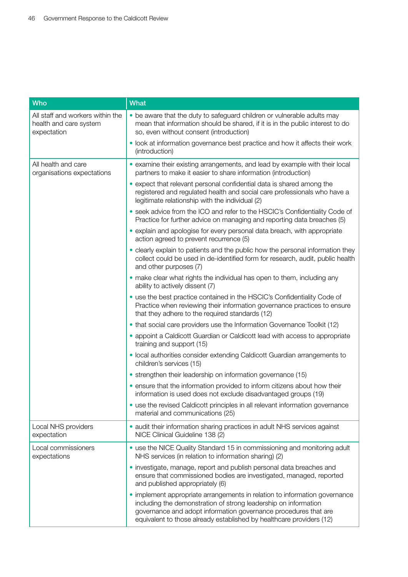| <b>Who</b>                                                                | <b>What</b>                                                                                                                                                                                                                                                                              |
|---------------------------------------------------------------------------|------------------------------------------------------------------------------------------------------------------------------------------------------------------------------------------------------------------------------------------------------------------------------------------|
| All staff and workers within the<br>health and care system<br>expectation | • be aware that the duty to safeguard children or vulnerable adults may<br>mean that information should be shared, if it is in the public interest to do<br>so, even without consent (introduction)                                                                                      |
|                                                                           | • look at information governance best practice and how it affects their work<br>(introduction)                                                                                                                                                                                           |
| All health and care<br>organisations expectations                         | • examine their existing arrangements, and lead by example with their local<br>partners to make it easier to share information (introduction)                                                                                                                                            |
|                                                                           | • expect that relevant personal confidential data is shared among the<br>registered and regulated health and social care professionals who have a<br>legitimate relationship with the individual (2)                                                                                     |
|                                                                           | • seek advice from the ICO and refer to the HSCIC's Confidentiality Code of<br>Practice for further advice on managing and reporting data breaches (5)                                                                                                                                   |
|                                                                           | • explain and apologise for every personal data breach, with appropriate<br>action agreed to prevent recurrence (5)                                                                                                                                                                      |
|                                                                           | • clearly explain to patients and the public how the personal information they<br>collect could be used in de-identified form for research, audit, public health<br>and other purposes (7)                                                                                               |
|                                                                           | • make clear what rights the individual has open to them, including any<br>ability to actively dissent (7)                                                                                                                                                                               |
|                                                                           | • use the best practice contained in the HSCIC's Confidentiality Code of<br>Practice when reviewing their information governance practices to ensure<br>that they adhere to the required standards (12)                                                                                  |
|                                                                           | • that social care providers use the Information Governance Toolkit (12)                                                                                                                                                                                                                 |
|                                                                           | • appoint a Caldicott Guardian or Caldicott lead with access to appropriate<br>training and support (15)                                                                                                                                                                                 |
|                                                                           | · local authorities consider extending Caldicott Guardian arrangements to<br>children's services (15)                                                                                                                                                                                    |
|                                                                           | • strengthen their leadership on information governance (15)                                                                                                                                                                                                                             |
|                                                                           | • ensure that the information provided to inform citizens about how their<br>information is used does not exclude disadvantaged groups (19)                                                                                                                                              |
|                                                                           | • use the revised Caldicott principles in all relevant information governance<br>material and communications (25)                                                                                                                                                                        |
| Local NHS providers<br>expectation                                        | • audit their information sharing practices in adult NHS services against<br>NICE Clinical Guideline 138 (2)                                                                                                                                                                             |
| Local commissioners<br>expectations                                       | • use the NICE Quality Standard 15 in commissioning and monitoring adult<br>NHS services (in relation to information sharing) (2)                                                                                                                                                        |
|                                                                           | • investigate, manage, report and publish personal data breaches and<br>ensure that commissioned bodies are investigated, managed, reported<br>and published appropriately (6)                                                                                                           |
|                                                                           | • implement appropriate arrangements in relation to information governance<br>including the demonstration of strong leadership on information<br>governance and adopt information governance procedures that are<br>equivalent to those already established by healthcare providers (12) |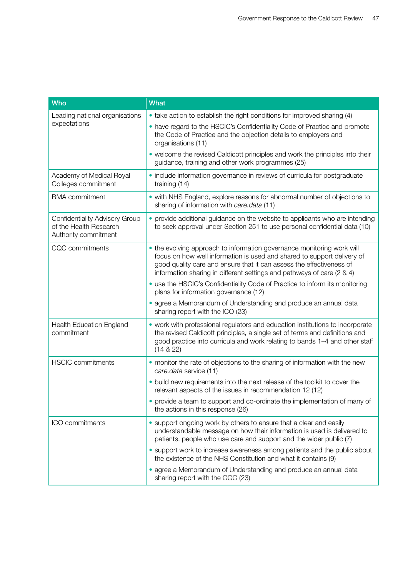| <b>Who</b>                                                                       | <b>What</b>                                                                                                                                                                                                                                                                                         |
|----------------------------------------------------------------------------------|-----------------------------------------------------------------------------------------------------------------------------------------------------------------------------------------------------------------------------------------------------------------------------------------------------|
| Leading national organisations<br>expectations                                   | • take action to establish the right conditions for improved sharing (4)<br>. have regard to the HSCIC's Confidentiality Code of Practice and promote<br>the Code of Practice and the objection details to employers and<br>organisations (11)                                                      |
|                                                                                  | • welcome the revised Caldicott principles and work the principles into their<br>guidance, training and other work programmes (25)                                                                                                                                                                  |
| Academy of Medical Royal<br>Colleges commitment                                  | • include information governance in reviews of curricula for postgraduate<br>training (14)                                                                                                                                                                                                          |
| <b>BMA</b> commitment                                                            | • with NHS England, explore reasons for abnormal number of objections to<br>sharing of information with care.data (11)                                                                                                                                                                              |
| Confidentiality Advisory Group<br>of the Health Research<br>Authority commitment | • provide additional guidance on the website to applicants who are intending<br>to seek approval under Section 251 to use personal confidential data (10)                                                                                                                                           |
| CQC commitments                                                                  | • the evolving approach to information governance monitoring work will<br>focus on how well information is used and shared to support delivery of<br>good quality care and ensure that it can assess the effectiveness of<br>information sharing in different settings and pathways of care (2 & 4) |
|                                                                                  | • use the HSCIC's Confidentiality Code of Practice to inform its monitoring<br>plans for information governance (12)                                                                                                                                                                                |
|                                                                                  | · agree a Memorandum of Understanding and produce an annual data<br>sharing report with the ICO (23)                                                                                                                                                                                                |
| Health Education England<br>commitment                                           | • work with professional regulators and education institutions to incorporate<br>the revised Caldicott principles, a single set of terms and definitions and<br>good practice into curricula and work relating to bands 1-4 and other staff<br>(14 & 22)                                            |
| <b>HSCIC</b> commitments                                                         | • monitor the rate of objections to the sharing of information with the new<br>care.data service (11)                                                                                                                                                                                               |
|                                                                                  | • build new requirements into the next release of the toolkit to cover the<br>relevant aspects of the issues in recommendation 12 (12)                                                                                                                                                              |
|                                                                                  | • provide a team to support and co-ordinate the implementation of many of<br>the actions in this response (26)                                                                                                                                                                                      |
| ICO commitments                                                                  | • support ongoing work by others to ensure that a clear and easily<br>understandable message on how their information is used is delivered to<br>patients, people who use care and support and the wider public (7)                                                                                 |
|                                                                                  | • support work to increase awareness among patients and the public about<br>the existence of the NHS Constitution and what it contains (9)                                                                                                                                                          |
|                                                                                  | • agree a Memorandum of Understanding and produce an annual data<br>sharing report with the CQC (23)                                                                                                                                                                                                |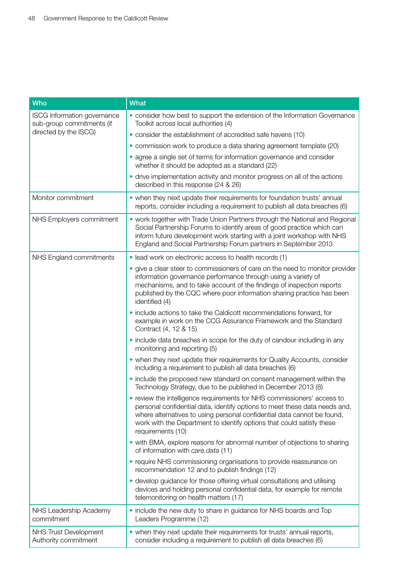| <b>Who</b>                                               | What                                                                                                                                                                                                                                                                                                                           |
|----------------------------------------------------------|--------------------------------------------------------------------------------------------------------------------------------------------------------------------------------------------------------------------------------------------------------------------------------------------------------------------------------|
| ISCG information governance<br>sub-group commitments (if | • consider how best to support the extension of the Information Governance<br>Toolkit across local authorities (4)                                                                                                                                                                                                             |
| directed by the ISCG)                                    | • consider the establishment of accredited safe havens (10)                                                                                                                                                                                                                                                                    |
|                                                          | • commission work to produce a data sharing agreement template (20)                                                                                                                                                                                                                                                            |
|                                                          | • agree a single set of terms for information governance and consider<br>whether it should be adopted as a standard (22)                                                                                                                                                                                                       |
|                                                          | • drive implementation activity and monitor progress on all of the actions<br>described in this response (24 & 26)                                                                                                                                                                                                             |
| Monitor commitment                                       | • when they next update their requirements for foundation trusts' annual<br>reports, consider including a requirement to publish all data breaches (6)                                                                                                                                                                         |
| NHS Employers commitment                                 | • work together with Trade Union Partners through the National and Regional<br>Social Partnership Forums to identify areas of good practice which can<br>inform future development work starting with a joint workshop with NHS<br>England and Social Partnership Forum partners in September 2013                             |
| NHS England commitments                                  | • lead work on electronic access to health records (1)                                                                                                                                                                                                                                                                         |
|                                                          | • give a clear steer to commissioners of care on the need to monitor provider<br>information governance performance through using a variety of<br>mechanisms, and to take account of the findings of inspection reports<br>published by the CQC where poor information sharing practice has been<br>identified (4)             |
|                                                          | • include actions to take the Caldicott recommendations forward, for<br>example in work on the CCG Assurance Framework and the Standard<br>Contract (4, 12 & 15)                                                                                                                                                               |
|                                                          | • include data breaches in scope for the duty of candour including in any<br>monitoring and reporting (5)                                                                                                                                                                                                                      |
|                                                          | • when they next update their requirements for Quality Accounts, consider<br>including a requirement to publish all data breaches (6)                                                                                                                                                                                          |
|                                                          | • include the proposed new standard on consent management within the<br>Technology Strategy, due to be published in December 2013 (8)                                                                                                                                                                                          |
|                                                          | • review the intelligence requirements for NHS commissioners' access to<br>personal confidential data, identify options to meet these data needs and,<br>where alternatives to using personal confidential data cannot be found,<br>work with the Department to identify options that could satisfy these<br>requirements (10) |
|                                                          | • with BMA, explore reasons for abnormal number of objections to sharing<br>of information with care.data (11)                                                                                                                                                                                                                 |
|                                                          | • require NHS commissioning organisations to provide reassurance on<br>recommendation 12 and to publish findings (12)                                                                                                                                                                                                          |
|                                                          | • develop guidance for those offering virtual consultations and utilising<br>devices and holding personal confidential data, for example for remote<br>telemonitoring on health matters (17)                                                                                                                                   |
| NHS Leadership Academy<br>commitment                     | • include the new duty to share in guidance for NHS boards and Top<br>Leaders Programme (12)                                                                                                                                                                                                                                   |
| <b>NHS Trust Development</b><br>Authority commitment     | • when they next update their requirements for trusts' annual reports,<br>consider including a requirement to publish all data breaches (6)                                                                                                                                                                                    |